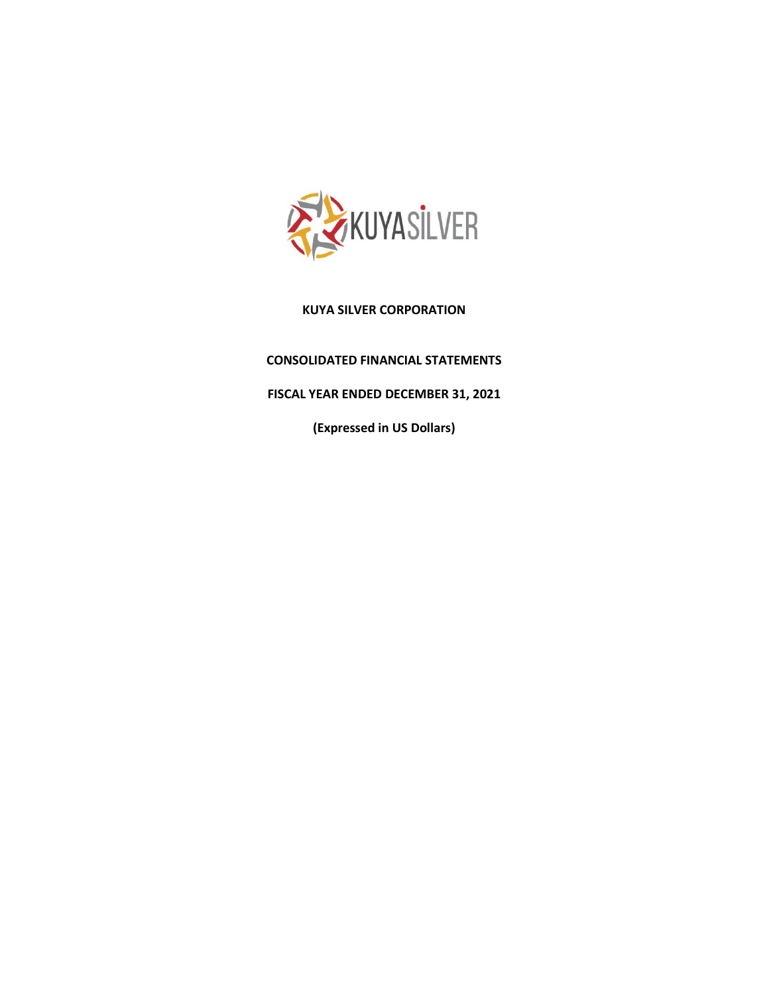

# **CONSOLIDATED FINANCIAL STATEMENTS**

# **FISCAL YEAR ENDED DECEMBER 31, 2021**

**(Expressed in US Dollars)**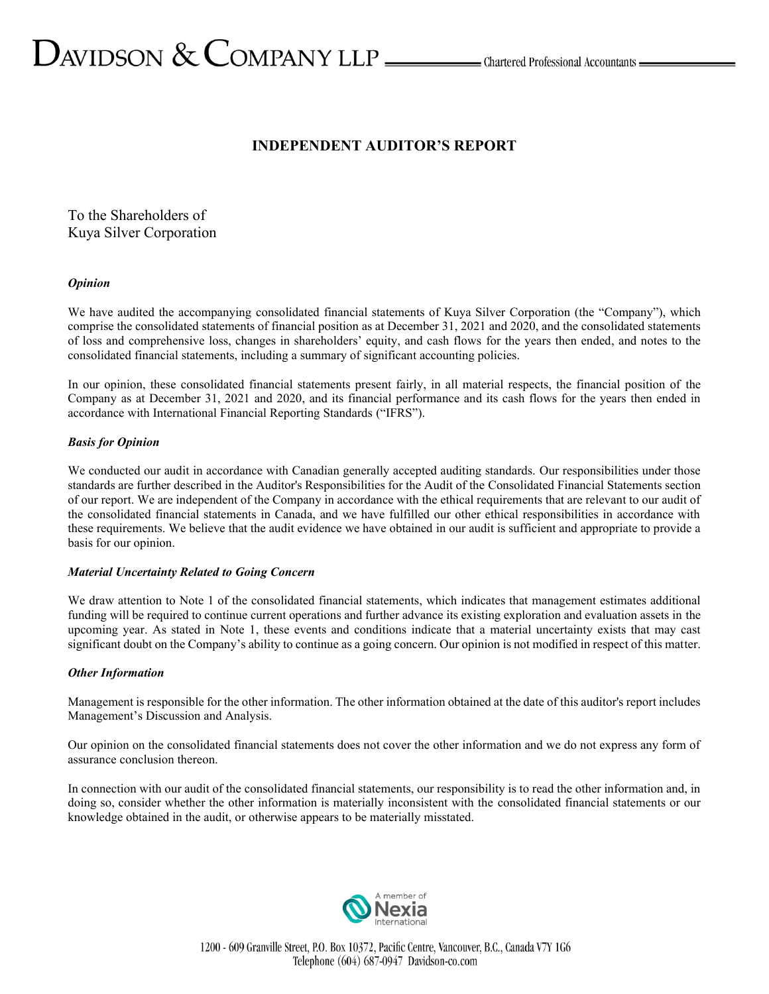# $D_{\text{AVIDSON}} \ \&\ \text{COMPANY LLP} \_\text{\tiny{LIP}}$  Chartered Professional Accountants  $-$

# **INDEPENDENT AUDITOR'S REPORT**

To the Shareholders of Kuya Silver Corporation

#### *Opinion*

We have audited the accompanying consolidated financial statements of Kuya Silver Corporation (the "Company"), which comprise the consolidated statements of financial position as at December 31, 2021 and 2020, and the consolidated statements of loss and comprehensive loss, changes in shareholders' equity, and cash flows for the years then ended, and notes to the consolidated financial statements, including a summary of significant accounting policies.

In our opinion, these consolidated financial statements present fairly, in all material respects, the financial position of the Company as at December 31, 2021 and 2020, and its financial performance and its cash flows for the years then ended in accordance with International Financial Reporting Standards ("IFRS").

#### *Basis for Opinion*

We conducted our audit in accordance with Canadian generally accepted auditing standards. Our responsibilities under those standards are further described in the Auditor's Responsibilities for the Audit of the Consolidated Financial Statements section of our report. We are independent of the Company in accordance with the ethical requirements that are relevant to our audit of the consolidated financial statements in Canada, and we have fulfilled our other ethical responsibilities in accordance with these requirements. We believe that the audit evidence we have obtained in our audit is sufficient and appropriate to provide a basis for our opinion.

#### *Material Uncertainty Related to Going Concern*

We draw attention to Note 1 of the consolidated financial statements, which indicates that management estimates additional funding will be required to continue current operations and further advance its existing exploration and evaluation assets in the upcoming year. As stated in Note 1, these events and conditions indicate that a material uncertainty exists that may cast significant doubt on the Company's ability to continue as a going concern. Our opinion is not modified in respect of this matter.

#### *Other Information*

Management is responsible for the other information. The other information obtained at the date of this auditor's report includes Management's Discussion and Analysis.

Our opinion on the consolidated financial statements does not cover the other information and we do not express any form of assurance conclusion thereon.

In connection with our audit of the consolidated financial statements, our responsibility is to read the other information and, in doing so, consider whether the other information is materially inconsistent with the consolidated financial statements or our knowledge obtained in the audit, or otherwise appears to be materially misstated.

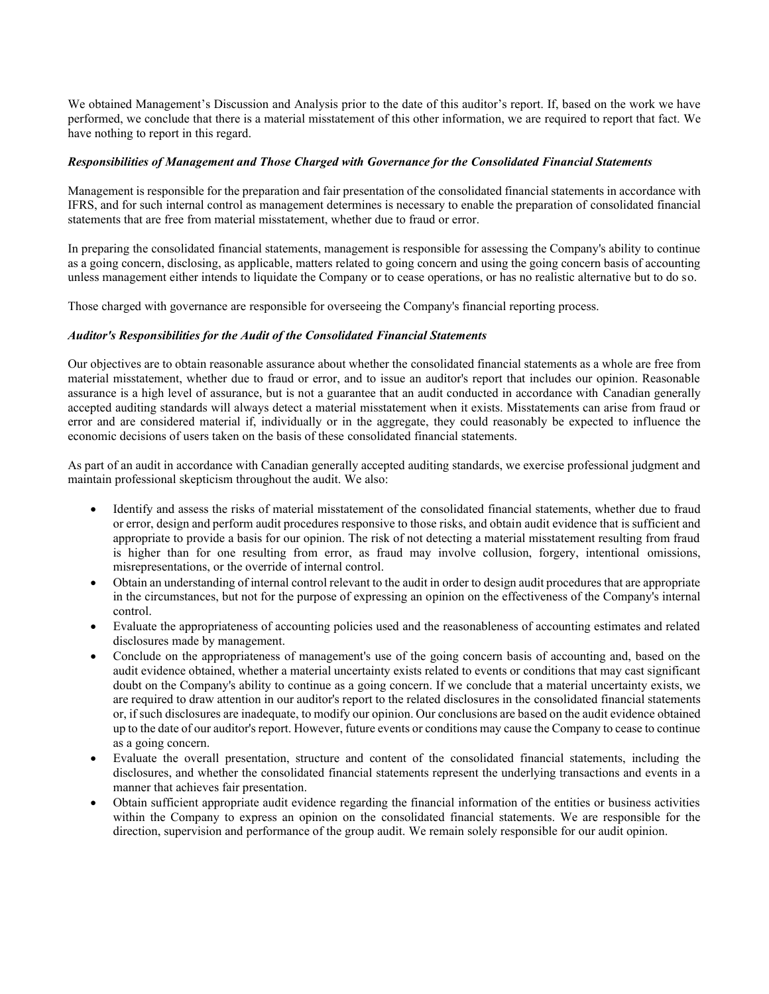We obtained Management's Discussion and Analysis prior to the date of this auditor's report. If, based on the work we have performed, we conclude that there is a material misstatement of this other information, we are required to report that fact. We have nothing to report in this regard.

#### *Responsibilities of Management and Those Charged with Governance for the Consolidated Financial Statements*

Management is responsible for the preparation and fair presentation of the consolidated financial statements in accordance with IFRS, and for such internal control as management determines is necessary to enable the preparation of consolidated financial statements that are free from material misstatement, whether due to fraud or error.

In preparing the consolidated financial statements, management is responsible for assessing the Company's ability to continue as a going concern, disclosing, as applicable, matters related to going concern and using the going concern basis of accounting unless management either intends to liquidate the Company or to cease operations, or has no realistic alternative but to do so.

Those charged with governance are responsible for overseeing the Company's financial reporting process.

#### *Auditor's Responsibilities for the Audit of the Consolidated Financial Statements*

Our objectives are to obtain reasonable assurance about whether the consolidated financial statements as a whole are free from material misstatement, whether due to fraud or error, and to issue an auditor's report that includes our opinion. Reasonable assurance is a high level of assurance, but is not a guarantee that an audit conducted in accordance with Canadian generally accepted auditing standards will always detect a material misstatement when it exists. Misstatements can arise from fraud or error and are considered material if, individually or in the aggregate, they could reasonably be expected to influence the economic decisions of users taken on the basis of these consolidated financial statements.

As part of an audit in accordance with Canadian generally accepted auditing standards, we exercise professional judgment and maintain professional skepticism throughout the audit. We also:

- Identify and assess the risks of material misstatement of the consolidated financial statements, whether due to fraud or error, design and perform audit procedures responsive to those risks, and obtain audit evidence that is sufficient and appropriate to provide a basis for our opinion. The risk of not detecting a material misstatement resulting from fraud is higher than for one resulting from error, as fraud may involve collusion, forgery, intentional omissions, misrepresentations, or the override of internal control.
- Obtain an understanding of internal control relevant to the audit in order to design audit procedures that are appropriate in the circumstances, but not for the purpose of expressing an opinion on the effectiveness of the Company's internal control.
- Evaluate the appropriateness of accounting policies used and the reasonableness of accounting estimates and related disclosures made by management.
- Conclude on the appropriateness of management's use of the going concern basis of accounting and, based on the audit evidence obtained, whether a material uncertainty exists related to events or conditions that may cast significant doubt on the Company's ability to continue as a going concern. If we conclude that a material uncertainty exists, we are required to draw attention in our auditor's report to the related disclosures in the consolidated financial statements or, if such disclosures are inadequate, to modify our opinion. Our conclusions are based on the audit evidence obtained up to the date of our auditor's report. However, future events or conditions may cause the Company to cease to continue as a going concern.
- Evaluate the overall presentation, structure and content of the consolidated financial statements, including the disclosures, and whether the consolidated financial statements represent the underlying transactions and events in a manner that achieves fair presentation.
- Obtain sufficient appropriate audit evidence regarding the financial information of the entities or business activities within the Company to express an opinion on the consolidated financial statements. We are responsible for the direction, supervision and performance of the group audit. We remain solely responsible for our audit opinion.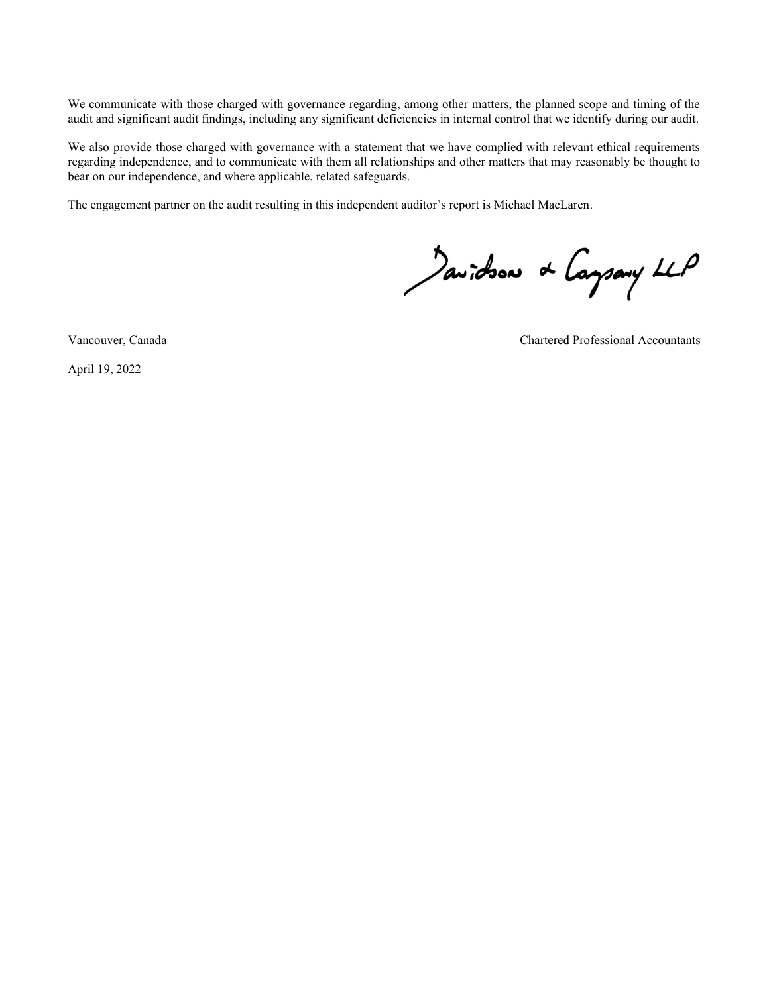We communicate with those charged with governance regarding, among other matters, the planned scope and timing of the audit and significant audit findings, including any significant deficiencies in internal control that we identify during our audit.

We also provide those charged with governance with a statement that we have complied with relevant ethical requirements regarding independence, and to communicate with them all relationships and other matters that may reasonably be thought to bear on our independence, and where applicable, related safeguards.

The engagement partner on the audit resulting in this independent auditor's report is Michael MacLaren.

Javidson & Caysary LLP

April 19, 2022

Vancouver, Canada Chartered Professional Accountants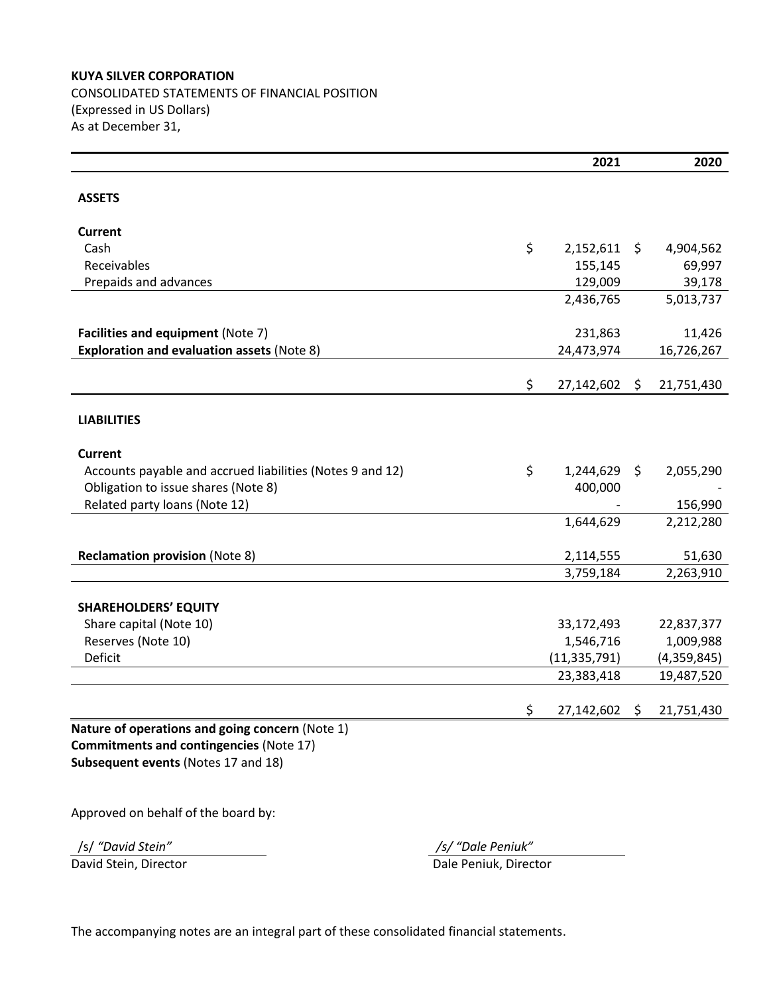# **KUYA SILVER CORPORATION** CONSOLIDATED STATEMENTS OF FINANCIAL POSITION

(Expressed in US Dollars) As at December 31,

|                                                           | 2021                 | 2020             |
|-----------------------------------------------------------|----------------------|------------------|
| <b>ASSETS</b>                                             |                      |                  |
|                                                           |                      |                  |
| <b>Current</b>                                            |                      |                  |
| Cash                                                      | \$<br>$2,152,611$ \$ | 4,904,562        |
| Receivables                                               | 155,145              | 69,997           |
| Prepaids and advances                                     | 129,009              | 39,178           |
|                                                           | 2,436,765            | 5,013,737        |
|                                                           |                      |                  |
| Facilities and equipment (Note 7)                         | 231,863              | 11,426           |
| <b>Exploration and evaluation assets (Note 8)</b>         | 24,473,974           | 16,726,267       |
|                                                           | \$<br>27,142,602 \$  | 21,751,430       |
|                                                           |                      |                  |
| <b>LIABILITIES</b>                                        |                      |                  |
| <b>Current</b>                                            |                      |                  |
| Accounts payable and accrued liabilities (Notes 9 and 12) | \$<br>$1,244,629$ \$ | 2,055,290        |
| Obligation to issue shares (Note 8)                       | 400,000              |                  |
| Related party loans (Note 12)                             |                      | 156,990          |
|                                                           | 1,644,629            | 2,212,280        |
| <b>Reclamation provision (Note 8)</b>                     | 2,114,555            | 51,630           |
|                                                           | 3,759,184            | 2,263,910        |
|                                                           |                      |                  |
| <b>SHAREHOLDERS' EQUITY</b>                               |                      |                  |
| Share capital (Note 10)                                   | 33,172,493           | 22,837,377       |
| Reserves (Note 10)                                        | 1,546,716            | 1,009,988        |
| Deficit                                                   | (11, 335, 791)       | (4,359,845)      |
|                                                           | 23,383,418           | 19,487,520       |
|                                                           | \$<br>27,142,602     | \$<br>21,751,430 |
| Nature of operations and going concern (Note 1)           |                      |                  |
| <b>Commitments and contingencies (Note 17)</b>            |                      |                  |
| Subsequent events (Notes 17 and 18)                       |                      |                  |
|                                                           |                      |                  |

Approved on behalf of the board by:

/s/ *͞David Stein͟ ͬƐͬ͞Dale Peniuk͟*

David Stein, Director **Dale Peniuk, Director** Dale Peniuk, Director

The accompanying notes are an integral part of these consolidated financial statements.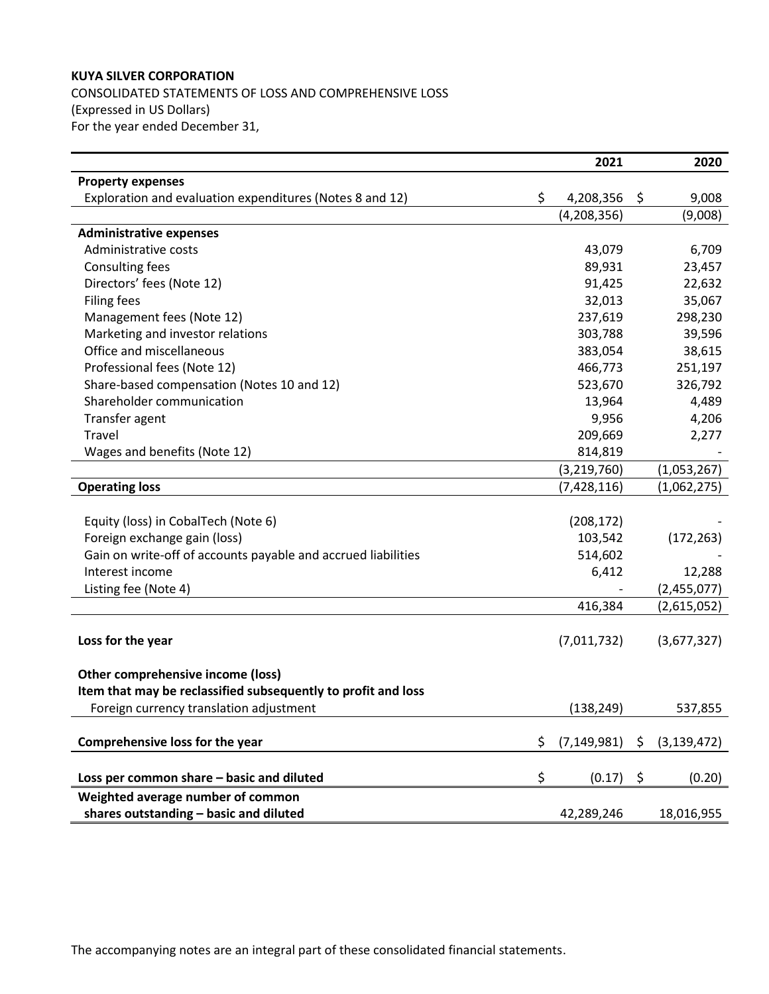CONSOLIDATED STATEMENTS OF LOSS AND COMPREHENSIVE LOSS (Expressed in US Dollars) For the year ended December 31,

|                                                               |    | 2021          | 2020                |
|---------------------------------------------------------------|----|---------------|---------------------|
| <b>Property expenses</b>                                      |    |               |                     |
| Exploration and evaluation expenditures (Notes 8 and 12)      | \$ | 4,208,356     | \$<br>9,008         |
|                                                               |    | (4, 208, 356) | (9,008)             |
| <b>Administrative expenses</b>                                |    |               |                     |
| Administrative costs                                          |    | 43,079        | 6,709               |
| <b>Consulting fees</b>                                        |    | 89,931        | 23,457              |
| Directors' fees (Note 12)                                     |    | 91,425        | 22,632              |
| <b>Filing fees</b>                                            |    | 32,013        | 35,067              |
| Management fees (Note 12)                                     |    | 237,619       | 298,230             |
| Marketing and investor relations                              |    | 303,788       | 39,596              |
| Office and miscellaneous                                      |    | 383,054       | 38,615              |
| Professional fees (Note 12)                                   |    | 466,773       | 251,197             |
| Share-based compensation (Notes 10 and 12)                    |    | 523,670       | 326,792             |
| Shareholder communication                                     |    | 13,964        | 4,489               |
| Transfer agent                                                |    | 9,956         | 4,206               |
| Travel                                                        |    | 209,669       | 2,277               |
| Wages and benefits (Note 12)                                  |    | 814,819       |                     |
|                                                               |    | (3, 219, 760) | (1,053,267)         |
| <b>Operating loss</b>                                         |    | (7, 428, 116) | (1,062,275)         |
|                                                               |    |               |                     |
| Equity (loss) in CobalTech (Note 6)                           |    | (208, 172)    |                     |
| Foreign exchange gain (loss)                                  |    | 103,542       | (172, 263)          |
| Gain on write-off of accounts payable and accrued liabilities |    | 514,602       |                     |
| Interest income                                               |    | 6,412         | 12,288              |
| Listing fee (Note 4)                                          |    |               | (2,455,077)         |
|                                                               |    | 416,384       | (2,615,052)         |
|                                                               |    |               |                     |
| Loss for the year                                             |    | (7,011,732)   | (3,677,327)         |
|                                                               |    |               |                     |
| Other comprehensive income (loss)                             |    |               |                     |
| Item that may be reclassified subsequently to profit and loss |    |               |                     |
| Foreign currency translation adjustment                       |    | (138, 249)    | 537,855             |
|                                                               |    |               |                     |
| Comprehensive loss for the year                               | S  | (7, 149, 981) | \$<br>(3, 139, 472) |
|                                                               |    |               |                     |
| Loss per common share - basic and diluted                     | \$ | (0.17)        | \$<br>(0.20)        |
| Weighted average number of common                             |    |               |                     |
| shares outstanding - basic and diluted                        |    | 42,289,246    | 18,016,955          |

The accompanying notes are an integral part of these consolidated financial statements.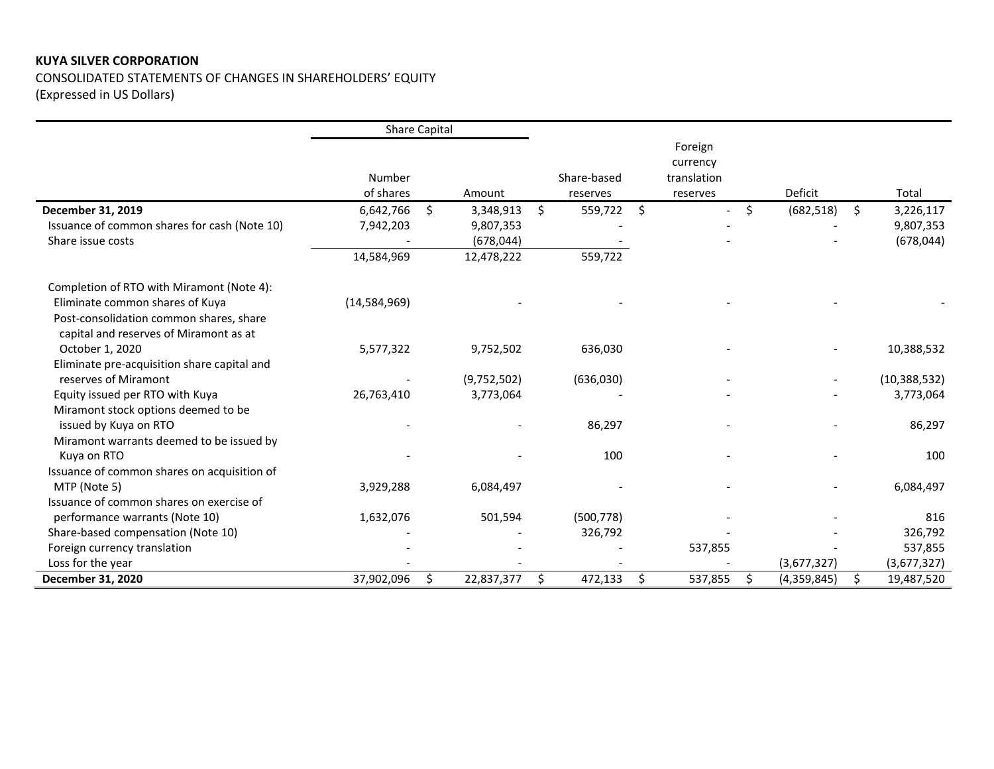CONSOLIDATED STATEMENTS OF CHANGES IN SHAREHOLDERS' EQUITY (Expressed in US Dollars)

|                                              | <b>Share Capital</b> |    |             |                         |                                                |                   |                  |
|----------------------------------------------|----------------------|----|-------------|-------------------------|------------------------------------------------|-------------------|------------------|
|                                              | Number<br>of shares  |    | Amount      | Share-based<br>reserves | Foreign<br>currency<br>translation<br>reserves | Deficit           | Total            |
| December 31, 2019                            | 6,642,766            | Ŝ. | 3,348,913   | \$<br>559,722 \$        | $\overline{\phantom{a}}$                       | \$<br>(682, 518)  | \$<br>3,226,117  |
| Issuance of common shares for cash (Note 10) | 7,942,203            |    | 9,807,353   |                         |                                                |                   | 9,807,353        |
| Share issue costs                            |                      |    | (678, 044)  |                         |                                                |                   | (678, 044)       |
|                                              | 14,584,969           |    | 12,478,222  | 559,722                 |                                                |                   |                  |
| Completion of RTO with Miramont (Note 4):    |                      |    |             |                         |                                                |                   |                  |
| Eliminate common shares of Kuya              | (14,584,969)         |    |             |                         |                                                |                   |                  |
| Post-consolidation common shares, share      |                      |    |             |                         |                                                |                   |                  |
| capital and reserves of Miramont as at       |                      |    |             |                         |                                                |                   |                  |
| October 1, 2020                              | 5,577,322            |    | 9,752,502   | 636,030                 |                                                |                   | 10,388,532       |
| Eliminate pre-acquisition share capital and  |                      |    |             |                         |                                                |                   |                  |
| reserves of Miramont                         |                      |    | (9,752,502) | (636,030)               |                                                |                   | (10, 388, 532)   |
| Equity issued per RTO with Kuya              | 26,763,410           |    | 3,773,064   |                         |                                                |                   | 3,773,064        |
| Miramont stock options deemed to be          |                      |    |             |                         |                                                |                   |                  |
| issued by Kuya on RTO                        |                      |    |             | 86,297                  |                                                |                   | 86,297           |
| Miramont warrants deemed to be issued by     |                      |    |             |                         |                                                |                   |                  |
| Kuya on RTO                                  |                      |    |             | 100                     |                                                |                   | 100              |
| Issuance of common shares on acquisition of  |                      |    |             |                         |                                                |                   |                  |
| MTP (Note 5)                                 | 3,929,288            |    | 6,084,497   |                         |                                                |                   | 6,084,497        |
| Issuance of common shares on exercise of     |                      |    |             |                         |                                                |                   |                  |
| performance warrants (Note 10)               | 1,632,076            |    | 501,594     | (500, 778)              |                                                |                   | 816              |
| Share-based compensation (Note 10)           |                      |    |             | 326,792                 |                                                |                   | 326,792          |
| Foreign currency translation                 |                      |    |             |                         | 537,855                                        |                   | 537,855          |
| Loss for the year                            |                      |    |             |                         |                                                | (3,677,327)       | (3,677,327)      |
| December 31, 2020                            | 37,902,096           | Ŝ. | 22,837,377  | \$<br>472,133           | \$<br>537,855                                  | \$<br>(4,359,845) | \$<br>19,487,520 |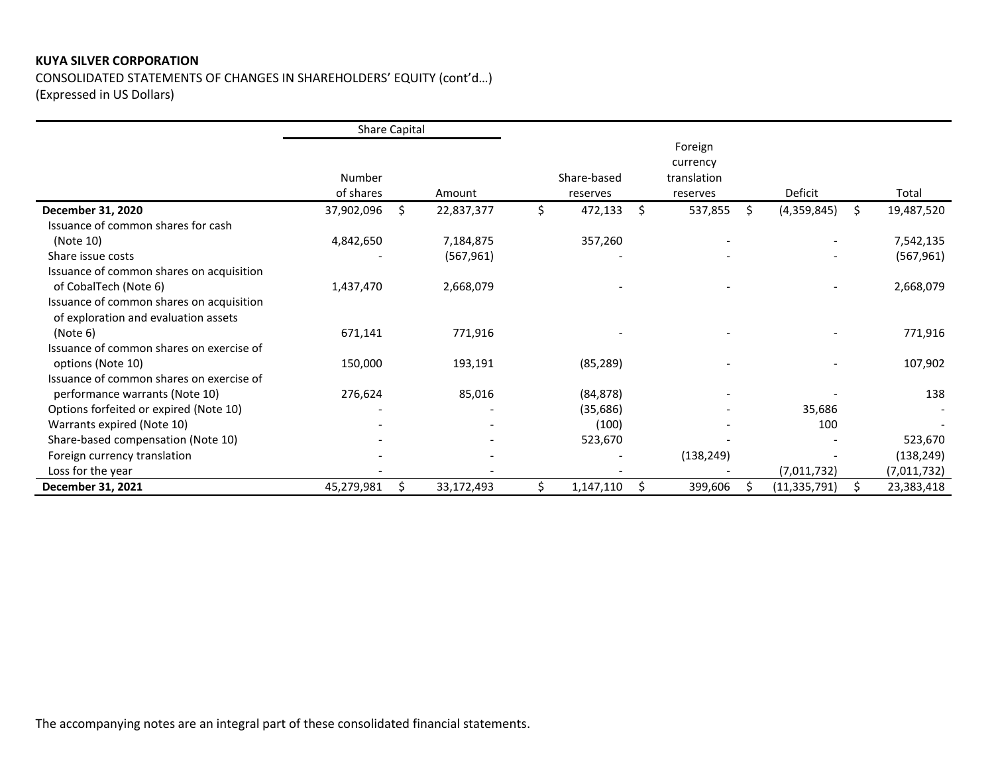CONSOLIDATED STATEMENTS OF CHANGES IN SHAREHOLDERS' EQUITY (cont'd...) (Expressed in US Dollars)

|                                                                                  | <b>Share Capital</b> |    |            |                         |      |                                                |                   |                  |
|----------------------------------------------------------------------------------|----------------------|----|------------|-------------------------|------|------------------------------------------------|-------------------|------------------|
|                                                                                  | Number<br>of shares  |    | Amount     | Share-based<br>reserves |      | Foreign<br>currency<br>translation<br>reserves | Deficit           | Total            |
| December 31, 2020                                                                | 37,902,096           | Ŝ. | 22,837,377 | \$<br>472,133           | Ŝ.   | 537,855                                        | \$<br>(4,359,845) | \$<br>19,487,520 |
| Issuance of common shares for cash                                               |                      |    |            |                         |      |                                                |                   |                  |
| (Note 10)                                                                        | 4,842,650            |    | 7,184,875  | 357,260                 |      |                                                |                   | 7,542,135        |
| Share issue costs                                                                |                      |    | (567, 961) |                         |      |                                                |                   | (567, 961)       |
| Issuance of common shares on acquisition                                         |                      |    |            |                         |      |                                                |                   |                  |
| of CobalTech (Note 6)                                                            | 1,437,470            |    | 2,668,079  |                         |      |                                                |                   | 2,668,079        |
| Issuance of common shares on acquisition<br>of exploration and evaluation assets |                      |    |            |                         |      |                                                |                   |                  |
| (Note 6)                                                                         | 671,141              |    | 771,916    |                         |      |                                                |                   | 771,916          |
| Issuance of common shares on exercise of                                         |                      |    |            |                         |      |                                                |                   |                  |
| options (Note 10)                                                                | 150,000              |    | 193,191    | (85, 289)               |      |                                                |                   | 107,902          |
| Issuance of common shares on exercise of                                         |                      |    |            |                         |      |                                                |                   |                  |
| performance warrants (Note 10)                                                   | 276,624              |    | 85,016     | (84, 878)               |      |                                                |                   | 138              |
| Options forfeited or expired (Note 10)                                           |                      |    |            | (35, 686)               |      |                                                | 35,686            |                  |
| Warrants expired (Note 10)                                                       |                      |    |            | (100)                   |      |                                                | 100               |                  |
| Share-based compensation (Note 10)                                               |                      |    |            | 523,670                 |      |                                                |                   | 523,670          |
| Foreign currency translation                                                     |                      |    |            |                         |      | (138, 249)                                     |                   | (138, 249)       |
| Loss for the year                                                                |                      |    |            |                         |      |                                                | (7,011,732)       | (7,011,732)      |
| December 31, 2021                                                                | 45,279,981           | \$ | 33,172,493 | \$<br>1,147,110         | - \$ | 399,606                                        | (11, 335, 791)    | \$<br>23,383,418 |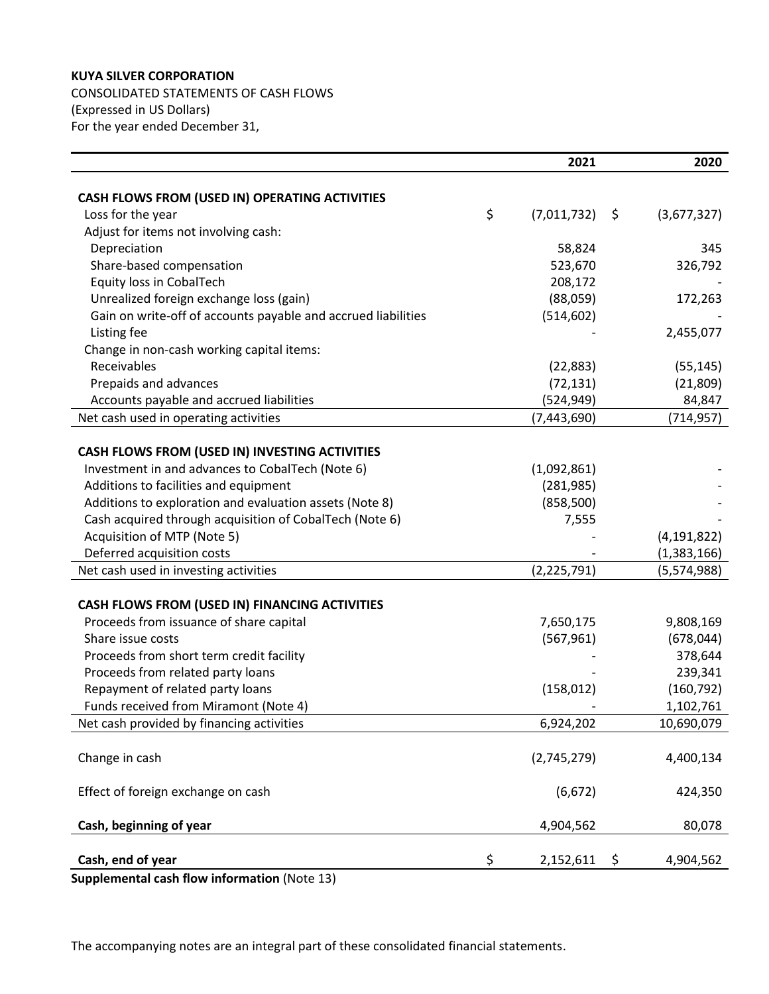CONSOLIDATED STATEMENTS OF CASH FLOWS (Expressed in US Dollars) For the year ended December 31,

|                                                               | 2021              |     | 2020          |
|---------------------------------------------------------------|-------------------|-----|---------------|
|                                                               |                   |     |               |
| CASH FLOWS FROM (USED IN) OPERATING ACTIVITIES                |                   |     |               |
| Loss for the year                                             | \$<br>(7,011,732) | -\$ | (3,677,327)   |
| Adjust for items not involving cash:                          |                   |     |               |
| Depreciation                                                  | 58,824            |     | 345           |
| Share-based compensation                                      | 523,670           |     | 326,792       |
| Equity loss in CobalTech                                      | 208,172           |     |               |
| Unrealized foreign exchange loss (gain)                       | (88,059)          |     | 172,263       |
| Gain on write-off of accounts payable and accrued liabilities | (514, 602)        |     |               |
| Listing fee                                                   |                   |     | 2,455,077     |
| Change in non-cash working capital items:                     |                   |     |               |
| Receivables                                                   | (22, 883)         |     | (55, 145)     |
| Prepaids and advances                                         | (72, 131)         |     | (21,809)      |
| Accounts payable and accrued liabilities                      | (524, 949)        |     | 84,847        |
| Net cash used in operating activities                         | (7,443,690)       |     | (714, 957)    |
|                                                               |                   |     |               |
| CASH FLOWS FROM (USED IN) INVESTING ACTIVITIES                |                   |     |               |
| Investment in and advances to CobalTech (Note 6)              | (1,092,861)       |     |               |
| Additions to facilities and equipment                         | (281, 985)        |     |               |
| Additions to exploration and evaluation assets (Note 8)       | (858, 500)        |     |               |
| Cash acquired through acquisition of CobalTech (Note 6)       | 7,555             |     |               |
| Acquisition of MTP (Note 5)                                   |                   |     | (4, 191, 822) |
| Deferred acquisition costs                                    |                   |     | (1,383,166)   |
| Net cash used in investing activities                         | (2, 225, 791)     |     | (5,574,988)   |
|                                                               |                   |     |               |
| CASH FLOWS FROM (USED IN) FINANCING ACTIVITIES                |                   |     |               |
| Proceeds from issuance of share capital                       | 7,650,175         |     | 9,808,169     |
| Share issue costs                                             | (567, 961)        |     | (678, 044)    |
| Proceeds from short term credit facility                      |                   |     | 378,644       |
| Proceeds from related party loans                             |                   |     | 239,341       |
| Repayment of related party loans                              | (158, 012)        |     | (160, 792)    |
| Funds received from Miramont (Note 4)                         |                   |     | 1,102,761     |
| Net cash provided by financing activities                     | 6,924,202         |     | 10,690,079    |
|                                                               |                   |     |               |
| Change in cash                                                | (2,745,279)       |     | 4,400,134     |
|                                                               |                   |     |               |
| Effect of foreign exchange on cash                            | (6, 672)          |     | 424,350       |
|                                                               |                   |     |               |
| Cash, beginning of year                                       | 4,904,562         |     | 80,078        |
| Cash, end of year                                             | \$<br>2,152,611   | \$  | 4,904,562     |
| antal cash flow information (Note 12)                         |                   |     |               |

**Supplemental cash flow information** (Note 13)

The accompanying notes are an integral part of these consolidated financial statements.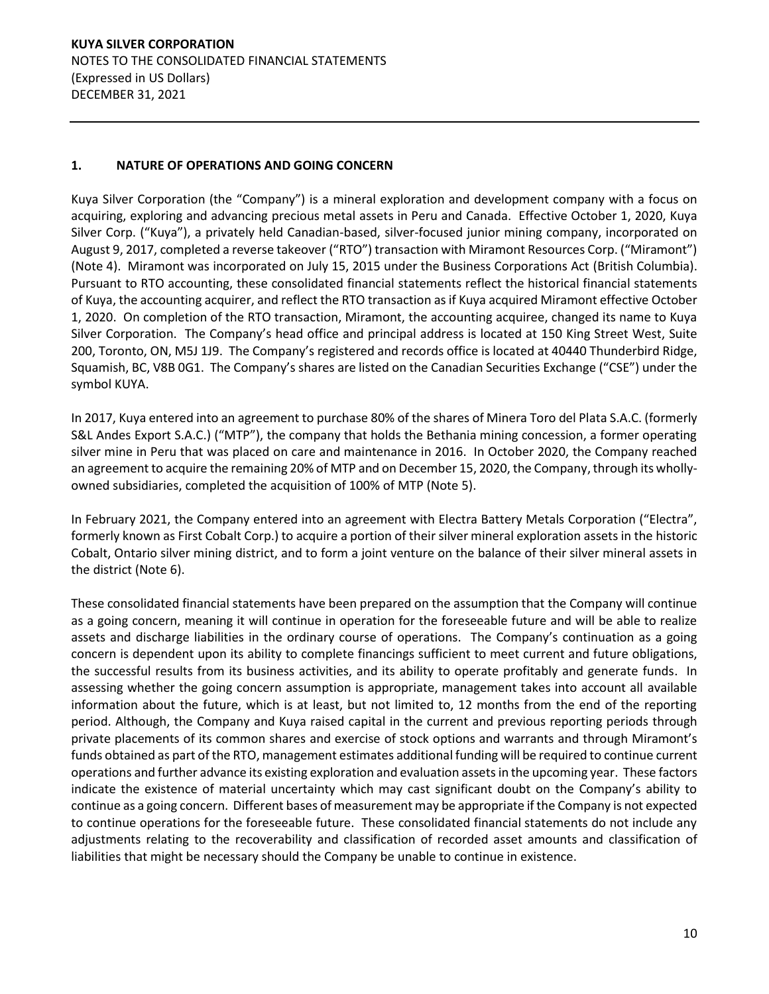**KUYA SILVER CORPORATION**  NOTES TO THE CONSOLIDATED FINANCIAL STATEMENTS (Expressed in US Dollars) DECEMBER 31, 2021

# **1. NATURE OF OPERATIONS AND GOING CONCERN**

Kuya Silver Corporation (the "Company") is a mineral exploration and development company with a focus on acquiring, exploring and advancing precious metal assets in Peru and Canada. Effective October 1, 2020, Kuya Silver Corp. ("Kuya"), a privately held Canadian-based, silver-focused junior mining company, incorporated on August 9, 2017, completed a reverse takeover ("RTO") transaction with Miramont Resources Corp. ("Miramont") (Note 4). Miramont was incorporated on July 15, 2015 under the Business Corporations Act (British Columbia). Pursuant to RTO accounting, these consolidated financial statements reflect the historical financial statements of Kuya, the accounting acquirer, and reflect the RTO transaction as if Kuya acquired Miramont effective October 1, 2020. On completion of the RTO transaction, Miramont, the accounting acquiree, changed its name to Kuya Silver Corporation. The Company's head office and principal address is located at 150 King Street West, Suite 200, Toronto, ON, M5J 1J9. The Company's registered and records office is located at 40440 Thunderbird Ridge, Squamish, BC, V8B 0G1. The Company's shares are listed on the Canadian Securities Exchange ("CSE") under the symbol KUYA.

In 2017, Kuya entered into an agreement to purchase 80% of the shares of Minera Toro del Plata S.A.C. (formerly S&L Andes Export S.A.C.) ("MTP"), the company that holds the Bethania mining concession, a former operating silver mine in Peru that was placed on care and maintenance in 2016. In October 2020, the Company reached an agreement to acquire the remaining 20% of MTP and on December 15, 2020, the Company, through its whollyowned subsidiaries, completed the acquisition of 100% of MTP (Note 5).

In February 2021, the Company entered into an agreement with Electra Battery Metals Corporation ("Electra", formerly known as First Cobalt Corp.) to acquire a portion of their silver mineral exploration assets in the historic Cobalt, Ontario silver mining district, and to form a joint venture on the balance of their silver mineral assets in the district (Note 6).

These consolidated financial statements have been prepared on the assumption that the Company will continue as a going concern, meaning it will continue in operation for the foreseeable future and will be able to realize assets and discharge liabilities in the ordinary course of operations. The Company's continuation as a going concern is dependent upon its ability to complete financings sufficient to meet current and future obligations, the successful results from its business activities, and its ability to operate profitably and generate funds. In assessing whether the going concern assumption is appropriate, management takes into account all available information about the future, which is at least, but not limited to, 12 months from the end of the reporting period. Although, the Company and Kuya raised capital in the current and previous reporting periods through private placements of its common shares and exercise of stock options and warrants and through Miramont's funds obtained as part of the RTO, management estimates additional funding will be required to continue current operations and further advance its existing exploration and evaluation assets in the upcoming year. These factors indicate the existence of material uncertainty which may cast significant doubt on the Company's ability to continue as a going concern. Different bases of measurement may be appropriate if the Company is not expected to continue operations for the foreseeable future. These consolidated financial statements do not include any adjustments relating to the recoverability and classification of recorded asset amounts and classification of liabilities that might be necessary should the Company be unable to continue in existence.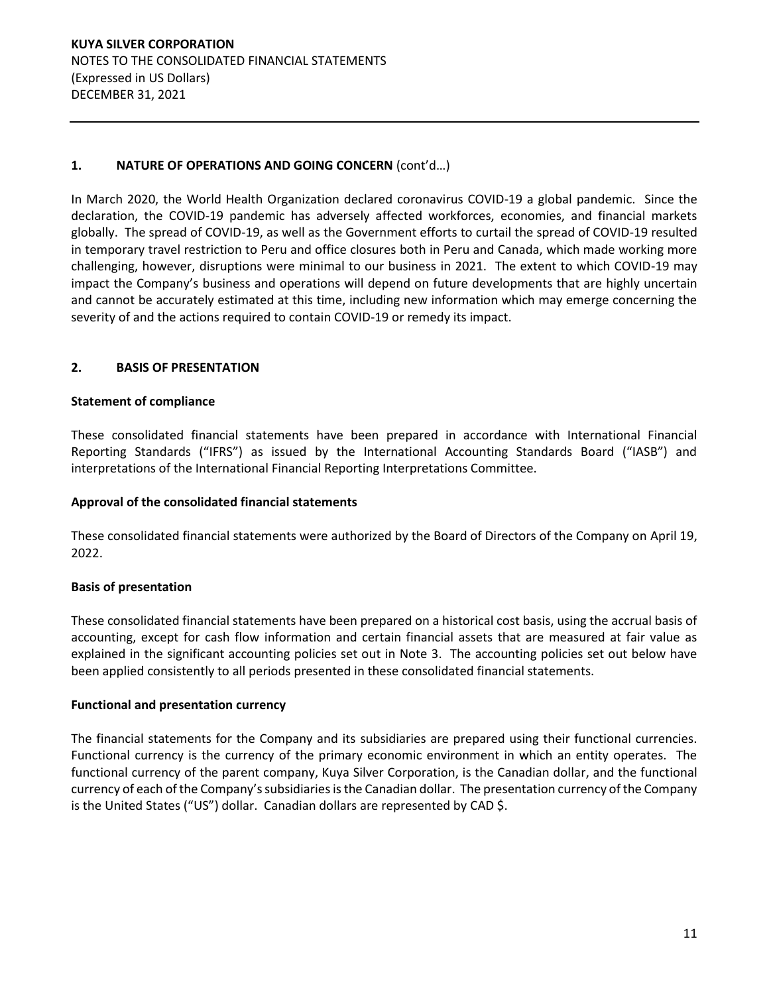**KUYA SILVER CORPORATION**  NOTES TO THE CONSOLIDATED FINANCIAL STATEMENTS (Expressed in US Dollars) DECEMBER 31, 2021

## 1. NATURE OF OPERATIONS AND GOING CONCERN (cont'd...)

In March 2020, the World Health Organization declared coronavirus COVID-19 a global pandemic. Since the declaration, the COVID-19 pandemic has adversely affected workforces, economies, and financial markets globally. The spread of COVID-19, as well as the Government efforts to curtail the spread of COVID-19 resulted in temporary travel restriction to Peru and office closures both in Peru and Canada, which made working more challenging, however, disruptions were minimal to our business in 2021. The extent to which COVID-19 may impact the Company's business and operations will depend on future developments that are highly uncertain and cannot be accurately estimated at this time, including new information which may emerge concerning the severity of and the actions required to contain COVID-19 or remedy its impact.

## **2. BASIS OF PRESENTATION**

#### **Statement of compliance**

These consolidated financial statements have been prepared in accordance with International Financial Reporting Standards ("IFRS") as issued by the International Accounting Standards Board ("IASB") and interpretations of the International Financial Reporting Interpretations Committee.

#### **Approval of the consolidated financial statements**

These consolidated financial statements were authorized by the Board of Directors of the Company on April 19, 2022.

## **Basis of presentation**

These consolidated financial statements have been prepared on a historical cost basis, using the accrual basis of accounting, except for cash flow information and certain financial assets that are measured at fair value as explained in the significant accounting policies set out in Note 3. The accounting policies set out below have been applied consistently to all periods presented in these consolidated financial statements.

#### **Functional and presentation currency**

The financial statements for the Company and its subsidiaries are prepared using their functional currencies. Functional currency is the currency of the primary economic environment in which an entity operates. The functional currency of the parent company, Kuya Silver Corporation, is the Canadian dollar, and the functional currency of each of the Company's subsidiaries is the Canadian dollar. The presentation currency of the Company is the United States ("US") dollar. Canadian dollars are represented by CAD \$.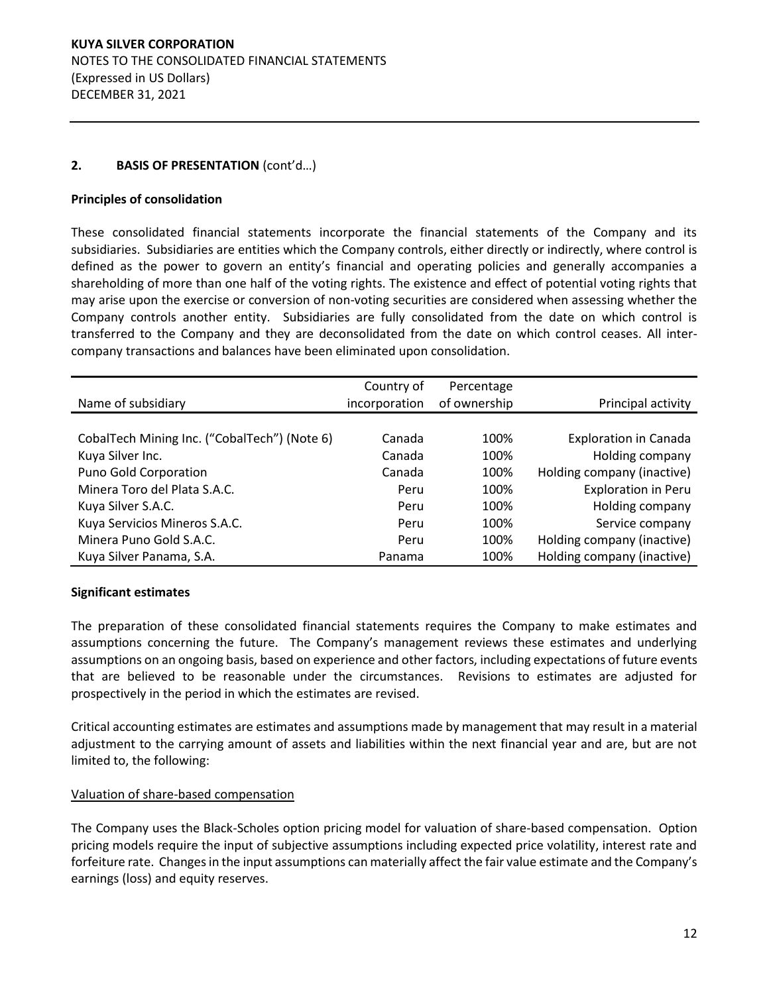## **2. BASIS OF PRESENTATION** (cont'd...)

## **Principles of consolidation**

These consolidated financial statements incorporate the financial statements of the Company and its subsidiaries. Subsidiaries are entities which the Company controls, either directly or indirectly, where control is defined as the power to govern an entity's financial and operating policies and generally accompanies a shareholding of more than one half of the voting rights. The existence and effect of potential voting rights that may arise upon the exercise or conversion of non-voting securities are considered when assessing whether the Company controls another entity. Subsidiaries are fully consolidated from the date on which control is transferred to the Company and they are deconsolidated from the date on which control ceases. All intercompany transactions and balances have been eliminated upon consolidation.

|                                              | Country of    | Percentage   |                              |
|----------------------------------------------|---------------|--------------|------------------------------|
| Name of subsidiary                           | incorporation | of ownership | Principal activity           |
|                                              |               |              |                              |
| CobalTech Mining Inc. ("CobalTech") (Note 6) | Canada        | 100%         | <b>Exploration in Canada</b> |
| Kuya Silver Inc.                             | Canada        | 100%         | Holding company              |
| Puno Gold Corporation                        | Canada        | 100%         | Holding company (inactive)   |
| Minera Toro del Plata S.A.C.                 | Peru          | 100%         | Exploration in Peru          |
| Kuya Silver S.A.C.                           | Peru          | 100%         | Holding company              |
| Kuya Servicios Mineros S.A.C.                | Peru          | 100%         | Service company              |
| Minera Puno Gold S.A.C.                      | Peru          | 100%         | Holding company (inactive)   |
| Kuya Silver Panama, S.A.                     | Panama        | 100%         | Holding company (inactive)   |

## **Significant estimates**

The preparation of these consolidated financial statements requires the Company to make estimates and assumptions concerning the future. The Company's management reviews these estimates and underlying assumptions on an ongoing basis, based on experience and other factors, including expectations of future events that are believed to be reasonable under the circumstances. Revisions to estimates are adjusted for prospectively in the period in which the estimates are revised.

Critical accounting estimates are estimates and assumptions made by management that may result in a material adjustment to the carrying amount of assets and liabilities within the next financial year and are, but are not limited to, the following:

#### Valuation of share-based compensation

The Company uses the Black-Scholes option pricing model for valuation of share-based compensation. Option pricing models require the input of subjective assumptions including expected price volatility, interest rate and forfeiture rate. Changes in the input assumptions can materially affect the fair value estimate and the Company's earnings (loss) and equity reserves.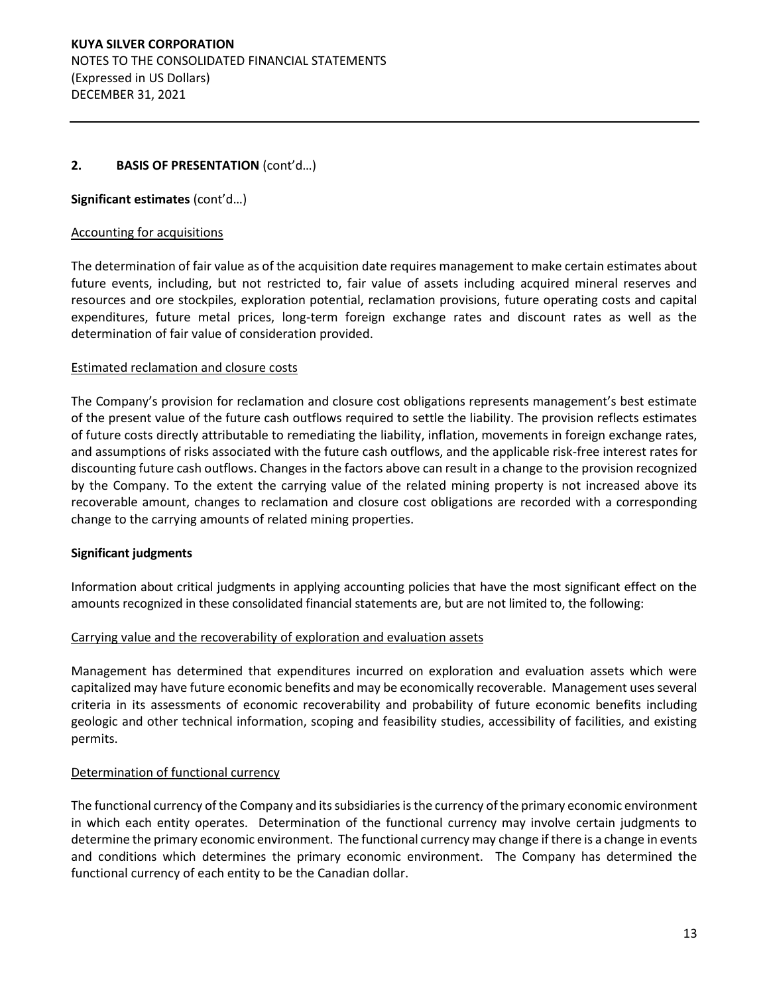## **2. BASIS OF PRESENTATION** (cont'd...)

## Significant estimates (cont'd...)

## Accounting for acquisitions

The determination of fair value as of the acquisition date requires management to make certain estimates about future events, including, but not restricted to, fair value of assets including acquired mineral reserves and resources and ore stockpiles, exploration potential, reclamation provisions, future operating costs and capital expenditures, future metal prices, long-term foreign exchange rates and discount rates as well as the determination of fair value of consideration provided.

#### Estimated reclamation and closure costs

The Company's provision for reclamation and closure cost obligations represents management's best estimate of the present value of the future cash outflows required to settle the liability. The provision reflects estimates of future costs directly attributable to remediating the liability, inflation, movements in foreign exchange rates, and assumptions of risks associated with the future cash outflows, and the applicable risk-free interest rates for discounting future cash outflows. Changes in the factors above can result in a change to the provision recognized by the Company. To the extent the carrying value of the related mining property is not increased above its recoverable amount, changes to reclamation and closure cost obligations are recorded with a corresponding change to the carrying amounts of related mining properties.

## **Significant judgments**

Information about critical judgments in applying accounting policies that have the most significant effect on the amounts recognized in these consolidated financial statements are, but are not limited to, the following:

## Carrying value and the recoverability of exploration and evaluation assets

Management has determined that expenditures incurred on exploration and evaluation assets which were capitalized may have future economic benefits and may be economically recoverable. Management uses several criteria in its assessments of economic recoverability and probability of future economic benefits including geologic and other technical information, scoping and feasibility studies, accessibility of facilities, and existing permits.

## Determination of functional currency

The functional currency of the Company and its subsidiaries is the currency of the primary economic environment in which each entity operates. Determination of the functional currency may involve certain judgments to determine the primary economic environment. The functional currency may change if there is a change in events and conditions which determines the primary economic environment. The Company has determined the functional currency of each entity to be the Canadian dollar.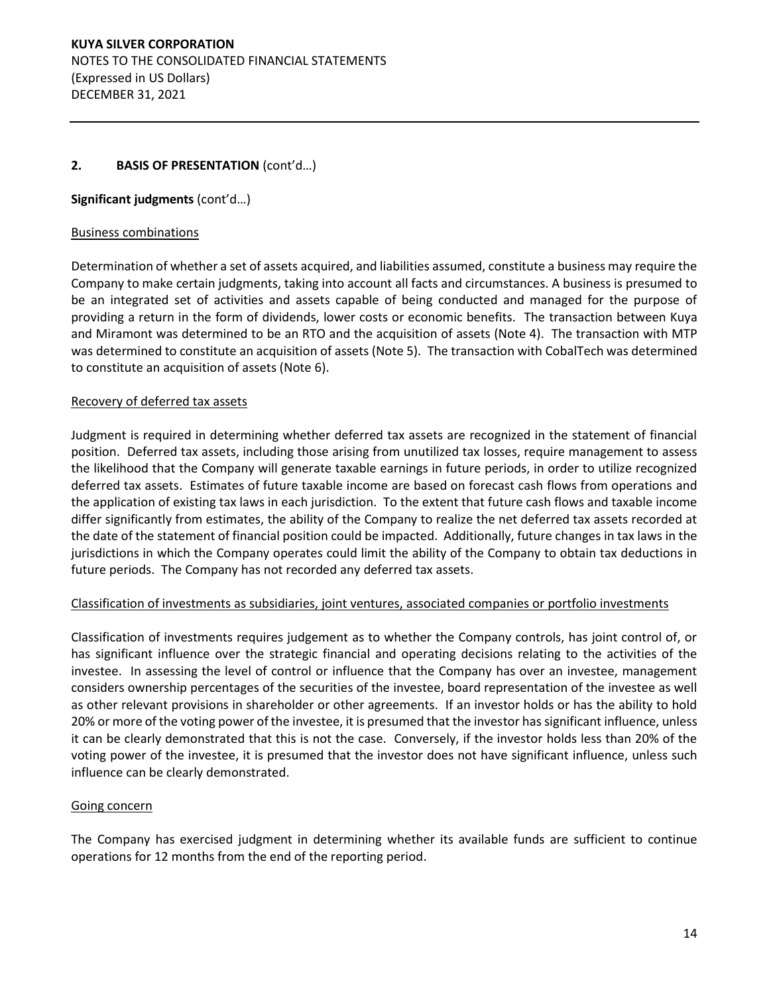# **2. BASIS OF PRESENTATION** (cont'd...)

# Significant judgments (cont'd...)

## Business combinations

Determination of whether a set of assets acquired, and liabilities assumed, constitute a business may require the Company to make certain judgments, taking into account all facts and circumstances. A business is presumed to be an integrated set of activities and assets capable of being conducted and managed for the purpose of providing a return in the form of dividends, lower costs or economic benefits. The transaction between Kuya and Miramont was determined to be an RTO and the acquisition of assets (Note 4). The transaction with MTP was determined to constitute an acquisition of assets (Note 5). The transaction with CobalTech was determined to constitute an acquisition of assets (Note 6).

#### Recovery of deferred tax assets

Judgment is required in determining whether deferred tax assets are recognized in the statement of financial position. Deferred tax assets, including those arising from unutilized tax losses, require management to assess the likelihood that the Company will generate taxable earnings in future periods, in order to utilize recognized deferred tax assets. Estimates of future taxable income are based on forecast cash flows from operations and the application of existing tax laws in each jurisdiction. To the extent that future cash flows and taxable income differ significantly from estimates, the ability of the Company to realize the net deferred tax assets recorded at the date of the statement of financial position could be impacted. Additionally, future changes in tax laws in the jurisdictions in which the Company operates could limit the ability of the Company to obtain tax deductions in future periods. The Company has not recorded any deferred tax assets.

## Classification of investments as subsidiaries, joint ventures, associated companies or portfolio investments

Classification of investments requires judgement as to whether the Company controls, has joint control of, or has significant influence over the strategic financial and operating decisions relating to the activities of the investee. In assessing the level of control or influence that the Company has over an investee, management considers ownership percentages of the securities of the investee, board representation of the investee as well as other relevant provisions in shareholder or other agreements. If an investor holds or has the ability to hold 20% or more of the voting power of the investee, it is presumed that the investor has significant influence, unless it can be clearly demonstrated that this is not the case. Conversely, if the investor holds less than 20% of the voting power of the investee, it is presumed that the investor does not have significant influence, unless such influence can be clearly demonstrated.

## Going concern

The Company has exercised judgment in determining whether its available funds are sufficient to continue operations for 12 months from the end of the reporting period.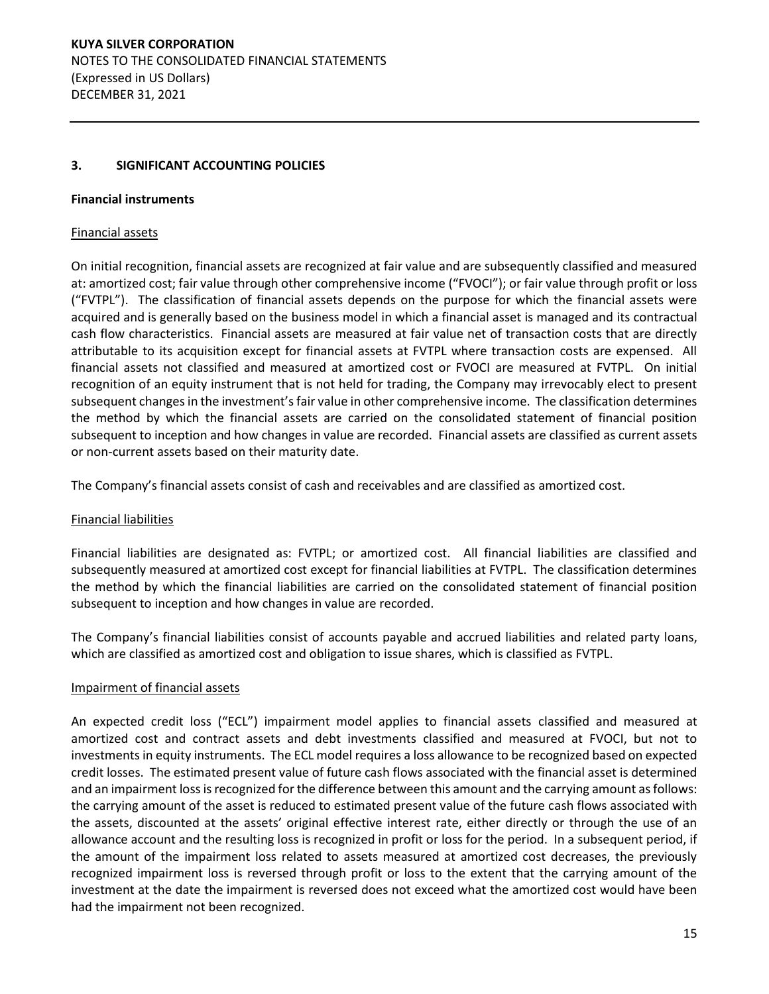## **3. SIGNIFICANT ACCOUNTING POLICIES**

#### **Financial instruments**

## Financial assets

On initial recognition, financial assets are recognized at fair value and are subsequently classified and measured at: amortized cost; fair value through other comprehensive income ("FVOCI"); or fair value through profit or loss ("FVTPL"). The classification of financial assets depends on the purpose for which the financial assets were acquired and is generally based on the business model in which a financial asset is managed and its contractual cash flow characteristics. Financial assets are measured at fair value net of transaction costs that are directly attributable to its acquisition except for financial assets at FVTPL where transaction costs are expensed. All financial assets not classified and measured at amortized cost or FVOCI are measured at FVTPL. On initial recognition of an equity instrument that is not held for trading, the Company may irrevocably elect to present subsequent changes in the investment's fair value in other comprehensive income. The classification determines the method by which the financial assets are carried on the consolidated statement of financial position subsequent to inception and how changes in value are recorded. Financial assets are classified as current assets or non-current assets based on their maturity date.

The Company's financial assets consist of cash and receivables and are classified as amortized cost.

## Financial liabilities

Financial liabilities are designated as: FVTPL; or amortized cost. All financial liabilities are classified and subsequently measured at amortized cost except for financial liabilities at FVTPL. The classification determines the method by which the financial liabilities are carried on the consolidated statement of financial position subsequent to inception and how changes in value are recorded.

The Company's financial liabilities consist of accounts payable and accrued liabilities and related party loans, which are classified as amortized cost and obligation to issue shares, which is classified as FVTPL.

## Impairment of financial assets

An expected credit loss ("ECL") impairment model applies to financial assets classified and measured at amortized cost and contract assets and debt investments classified and measured at FVOCI, but not to investments in equity instruments. The ECL model requires a loss allowance to be recognized based on expected credit losses. The estimated present value of future cash flows associated with the financial asset is determined and an impairment loss is recognized for the difference between this amount and the carrying amount as follows: the carrying amount of the asset is reduced to estimated present value of the future cash flows associated with the assets, discounted at the assets' original effective interest rate, either directly or through the use of an allowance account and the resulting loss is recognized in profit or loss for the period. In a subsequent period, if the amount of the impairment loss related to assets measured at amortized cost decreases, the previously recognized impairment loss is reversed through profit or loss to the extent that the carrying amount of the investment at the date the impairment is reversed does not exceed what the amortized cost would have been had the impairment not been recognized.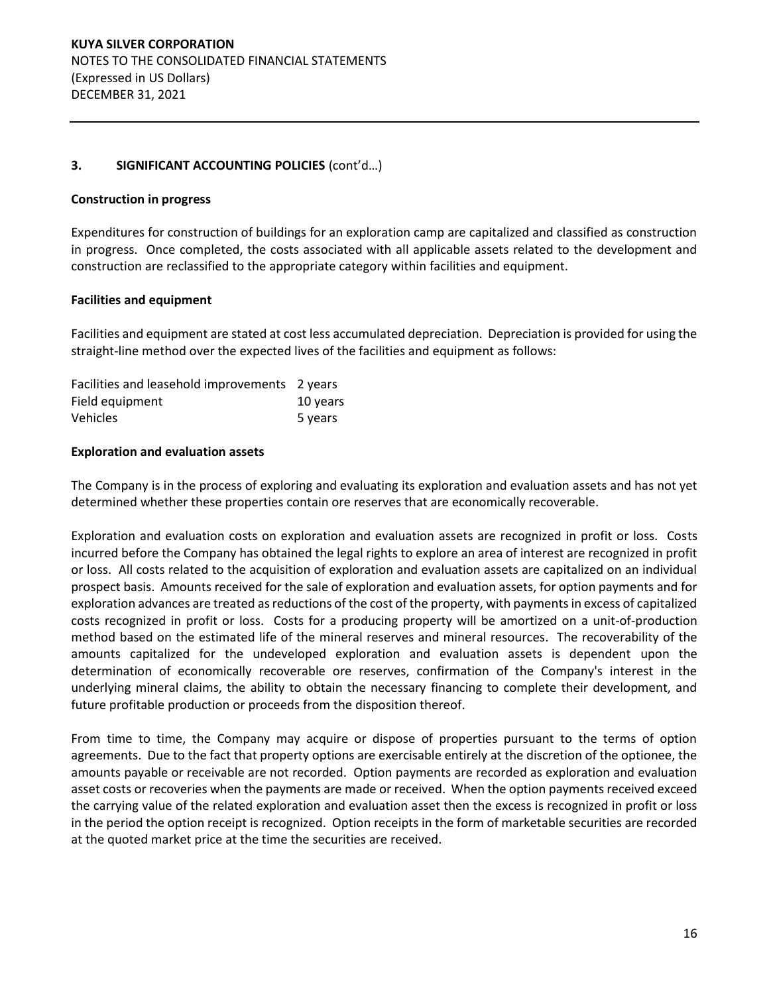## **Construction in progress**

Expenditures for construction of buildings for an exploration camp are capitalized and classified as construction in progress. Once completed, the costs associated with all applicable assets related to the development and construction are reclassified to the appropriate category within facilities and equipment.

## **Facilities and equipment**

Facilities and equipment are stated at cost less accumulated depreciation. Depreciation is provided for using the straight-line method over the expected lives of the facilities and equipment as follows:

| Facilities and leasehold improvements 2 years |          |
|-----------------------------------------------|----------|
| Field equipment                               | 10 years |
| <b>Vehicles</b>                               | 5 years  |

#### **Exploration and evaluation assets**

The Company is in the process of exploring and evaluating its exploration and evaluation assets and has not yet determined whether these properties contain ore reserves that are economically recoverable.

Exploration and evaluation costs on exploration and evaluation assets are recognized in profit or loss. Costs incurred before the Company has obtained the legal rights to explore an area of interest are recognized in profit or loss. All costs related to the acquisition of exploration and evaluation assets are capitalized on an individual prospect basis. Amounts received for the sale of exploration and evaluation assets, for option payments and for exploration advances are treated as reductions of the cost of the property, with payments in excess of capitalized costs recognized in profit or loss. Costs for a producing property will be amortized on a unit-of-production method based on the estimated life of the mineral reserves and mineral resources. The recoverability of the amounts capitalized for the undeveloped exploration and evaluation assets is dependent upon the determination of economically recoverable ore reserves, confirmation of the Company's interest in the underlying mineral claims, the ability to obtain the necessary financing to complete their development, and future profitable production or proceeds from the disposition thereof.

From time to time, the Company may acquire or dispose of properties pursuant to the terms of option agreements. Due to the fact that property options are exercisable entirely at the discretion of the optionee, the amounts payable or receivable are not recorded. Option payments are recorded as exploration and evaluation asset costs or recoveries when the payments are made or received. When the option payments received exceed the carrying value of the related exploration and evaluation asset then the excess is recognized in profit or loss in the period the option receipt is recognized. Option receipts in the form of marketable securities are recorded at the quoted market price at the time the securities are received.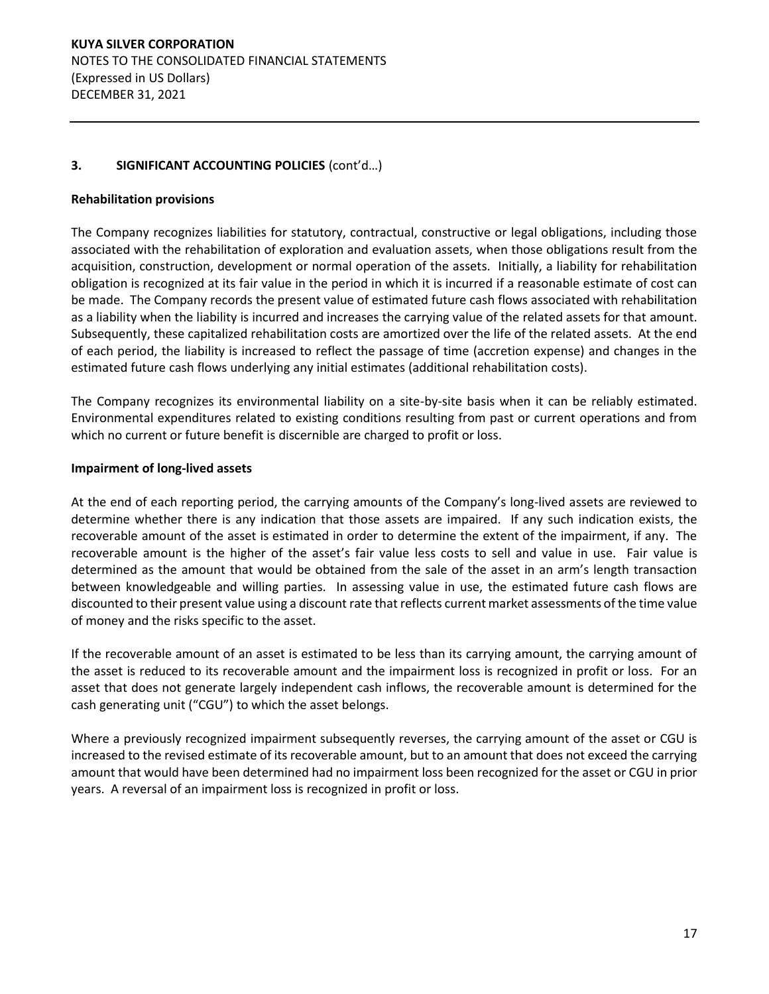## **Rehabilitation provisions**

The Company recognizes liabilities for statutory, contractual, constructive or legal obligations, including those associated with the rehabilitation of exploration and evaluation assets, when those obligations result from the acquisition, construction, development or normal operation of the assets. Initially, a liability for rehabilitation obligation is recognized at its fair value in the period in which it is incurred if a reasonable estimate of cost can be made. The Company records the present value of estimated future cash flows associated with rehabilitation as a liability when the liability is incurred and increases the carrying value of the related assets for that amount. Subsequently, these capitalized rehabilitation costs are amortized over the life of the related assets. At the end of each period, the liability is increased to reflect the passage of time (accretion expense) and changes in the estimated future cash flows underlying any initial estimates (additional rehabilitation costs).

The Company recognizes its environmental liability on a site-by-site basis when it can be reliably estimated. Environmental expenditures related to existing conditions resulting from past or current operations and from which no current or future benefit is discernible are charged to profit or loss.

#### **Impairment of long-lived assets**

At the end of each reporting period, the carrying amounts of the Company's long-lived assets are reviewed to determine whether there is any indication that those assets are impaired. If any such indication exists, the recoverable amount of the asset is estimated in order to determine the extent of the impairment, if any. The recoverable amount is the higher of the asset's fair value less costs to sell and value in use. Fair value is determined as the amount that would be obtained from the sale of the asset in an arm's length transaction between knowledgeable and willing parties. In assessing value in use, the estimated future cash flows are discounted to their present value using a discount rate that reflects current market assessments of the time value of money and the risks specific to the asset.

If the recoverable amount of an asset is estimated to be less than its carrying amount, the carrying amount of the asset is reduced to its recoverable amount and the impairment loss is recognized in profit or loss. For an asset that does not generate largely independent cash inflows, the recoverable amount is determined for the cash generating unit ("CGU") to which the asset belongs.

Where a previously recognized impairment subsequently reverses, the carrying amount of the asset or CGU is increased to the revised estimate of its recoverable amount, but to an amount that does not exceed the carrying amount that would have been determined had no impairment loss been recognized for the asset or CGU in prior years. A reversal of an impairment loss is recognized in profit or loss.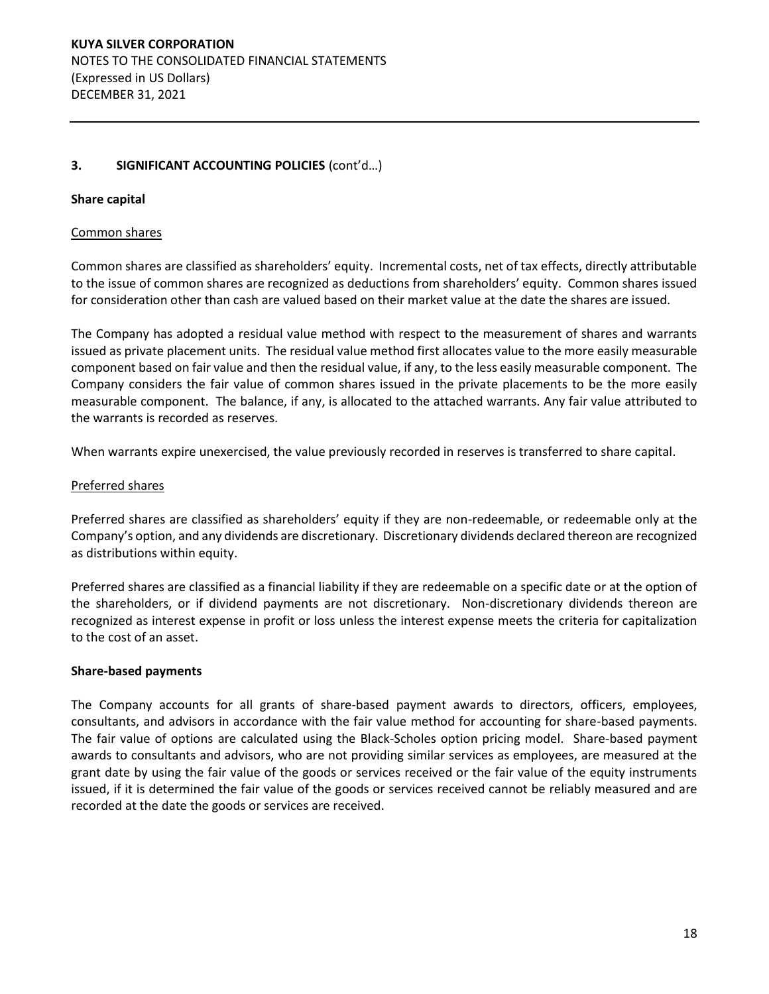## **Share capital**

#### Common shares

Common shares are classified as shareholders' equity. Incremental costs, net of tax effects, directly attributable to the issue of common shares are recognized as deductions from shareholders' equity. Common shares issued for consideration other than cash are valued based on their market value at the date the shares are issued.

The Company has adopted a residual value method with respect to the measurement of shares and warrants issued as private placement units. The residual value method first allocates value to the more easily measurable component based on fair value and then the residual value, if any, to the less easily measurable component. The Company considers the fair value of common shares issued in the private placements to be the more easily measurable component. The balance, if any, is allocated to the attached warrants. Any fair value attributed to the warrants is recorded as reserves.

When warrants expire unexercised, the value previously recorded in reserves is transferred to share capital.

#### Preferred shares

Preferred shares are classified as shareholders' equity if they are non-redeemable, or redeemable only at the Company's option, and any dividends are discretionary. Discretionary dividends declared thereon are recognized as distributions within equity.

Preferred shares are classified as a financial liability if they are redeemable on a specific date or at the option of the shareholders, or if dividend payments are not discretionary. Non-discretionary dividends thereon are recognized as interest expense in profit or loss unless the interest expense meets the criteria for capitalization to the cost of an asset.

#### **Share-based payments**

The Company accounts for all grants of share-based payment awards to directors, officers, employees, consultants, and advisors in accordance with the fair value method for accounting for share-based payments. The fair value of options are calculated using the Black-Scholes option pricing model. Share-based payment awards to consultants and advisors, who are not providing similar services as employees, are measured at the grant date by using the fair value of the goods or services received or the fair value of the equity instruments issued, if it is determined the fair value of the goods or services received cannot be reliably measured and are recorded at the date the goods or services are received.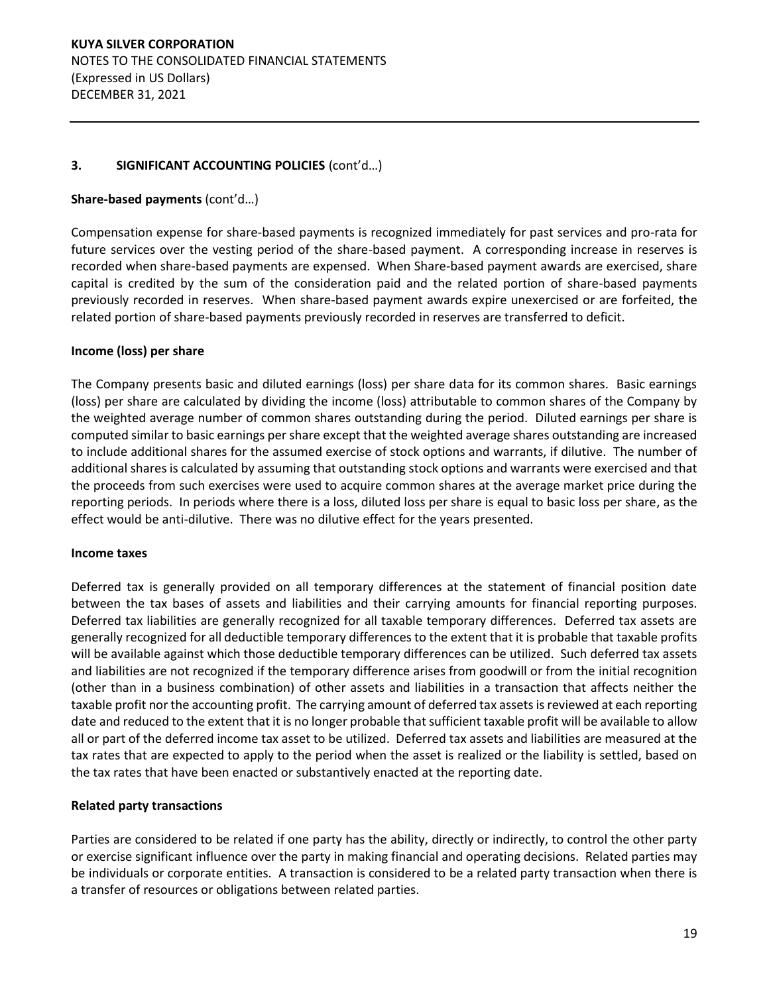## Share-based payments (cont'd...)

Compensation expense for share-based payments is recognized immediately for past services and pro-rata for future services over the vesting period of the share-based payment. A corresponding increase in reserves is recorded when share-based payments are expensed. When Share-based payment awards are exercised, share capital is credited by the sum of the consideration paid and the related portion of share-based payments previously recorded in reserves. When share-based payment awards expire unexercised or are forfeited, the related portion of share-based payments previously recorded in reserves are transferred to deficit.

## **Income (loss) per share**

The Company presents basic and diluted earnings (loss) per share data for its common shares. Basic earnings (loss) per share are calculated by dividing the income (loss) attributable to common shares of the Company by the weighted average number of common shares outstanding during the period. Diluted earnings per share is computed similar to basic earnings per share except that the weighted average shares outstanding are increased to include additional shares for the assumed exercise of stock options and warrants, if dilutive. The number of additional shares is calculated by assuming that outstanding stock options and warrants were exercised and that the proceeds from such exercises were used to acquire common shares at the average market price during the reporting periods. In periods where there is a loss, diluted loss per share is equal to basic loss per share, as the effect would be anti-dilutive. There was no dilutive effect for the years presented.

#### **Income taxes**

Deferred tax is generally provided on all temporary differences at the statement of financial position date between the tax bases of assets and liabilities and their carrying amounts for financial reporting purposes. Deferred tax liabilities are generally recognized for all taxable temporary differences. Deferred tax assets are generally recognized for all deductible temporary differences to the extent that it is probable that taxable profits will be available against which those deductible temporary differences can be utilized. Such deferred tax assets and liabilities are not recognized if the temporary difference arises from goodwill or from the initial recognition (other than in a business combination) of other assets and liabilities in a transaction that affects neither the taxable profit nor the accounting profit. The carrying amount of deferred tax assets is reviewed at each reporting date and reduced to the extent that it is no longer probable that sufficient taxable profit will be available to allow all or part of the deferred income tax asset to be utilized. Deferred tax assets and liabilities are measured at the tax rates that are expected to apply to the period when the asset is realized or the liability is settled, based on the tax rates that have been enacted or substantively enacted at the reporting date.

## **Related party transactions**

Parties are considered to be related if one party has the ability, directly or indirectly, to control the other party or exercise significant influence over the party in making financial and operating decisions. Related parties may be individuals or corporate entities. A transaction is considered to be a related party transaction when there is a transfer of resources or obligations between related parties.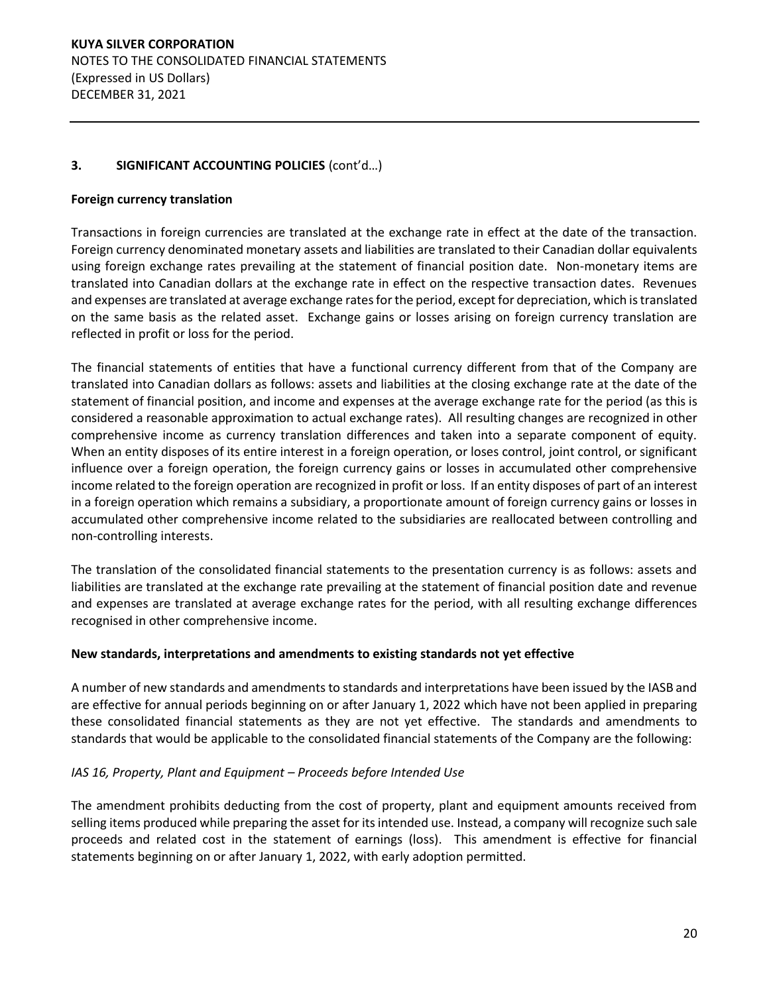## **Foreign currency translation**

Transactions in foreign currencies are translated at the exchange rate in effect at the date of the transaction. Foreign currency denominated monetary assets and liabilities are translated to their Canadian dollar equivalents using foreign exchange rates prevailing at the statement of financial position date. Non-monetary items are translated into Canadian dollars at the exchange rate in effect on the respective transaction dates. Revenues and expenses are translated at average exchange rates for the period, except for depreciation, which is translated on the same basis as the related asset. Exchange gains or losses arising on foreign currency translation are reflected in profit or loss for the period.

The financial statements of entities that have a functional currency different from that of the Company are translated into Canadian dollars as follows: assets and liabilities at the closing exchange rate at the date of the statement of financial position, and income and expenses at the average exchange rate for the period (as this is considered a reasonable approximation to actual exchange rates). All resulting changes are recognized in other comprehensive income as currency translation differences and taken into a separate component of equity. When an entity disposes of its entire interest in a foreign operation, or loses control, joint control, or significant influence over a foreign operation, the foreign currency gains or losses in accumulated other comprehensive income related to the foreign operation are recognized in profit or loss. If an entity disposes of part of an interest in a foreign operation which remains a subsidiary, a proportionate amount of foreign currency gains or losses in accumulated other comprehensive income related to the subsidiaries are reallocated between controlling and non-controlling interests.

The translation of the consolidated financial statements to the presentation currency is as follows: assets and liabilities are translated at the exchange rate prevailing at the statement of financial position date and revenue and expenses are translated at average exchange rates for the period, with all resulting exchange differences recognised in other comprehensive income.

#### **New standards, interpretations and amendments to existing standards not yet effective**

A number of new standards and amendments to standards and interpretations have been issued by the IASB and are effective for annual periods beginning on or after January 1, 2022 which have not been applied in preparing these consolidated financial statements as they are not yet effective. The standards and amendments to standards that would be applicable to the consolidated financial statements of the Company are the following:

## *IAS 16, Property, Plant and Equipment ʹ Proceeds before Intended Use*

The amendment prohibits deducting from the cost of property, plant and equipment amounts received from selling items produced while preparing the asset for its intended use. Instead, a company will recognize such sale proceeds and related cost in the statement of earnings (loss). This amendment is effective for financial statements beginning on or after January 1, 2022, with early adoption permitted.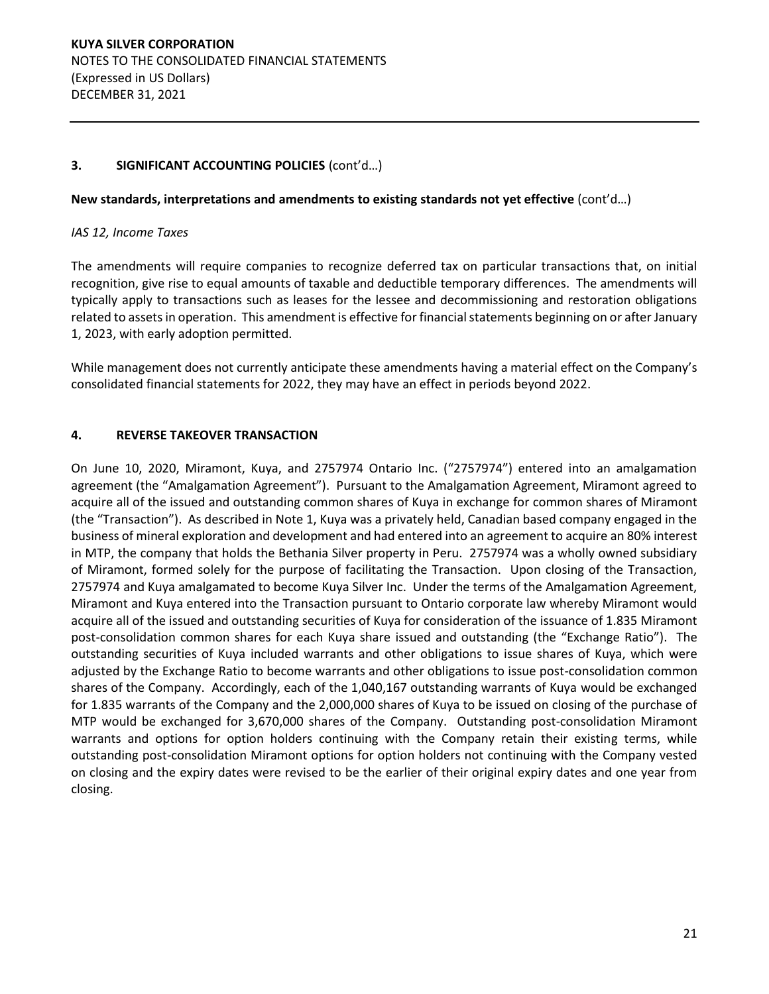## **New standards, interpretations and amendments to existing standards not yet effective** (cont'd...)

#### *IAS 12, Income Taxes*

The amendments will require companies to recognize deferred tax on particular transactions that, on initial recognition, give rise to equal amounts of taxable and deductible temporary differences. The amendments will typically apply to transactions such as leases for the lessee and decommissioning and restoration obligations related to assets in operation. This amendment is effective for financial statements beginning on or after January 1, 2023, with early adoption permitted.

While management does not currently anticipate these amendments having a material effect on the Company's consolidated financial statements for 2022, they may have an effect in periods beyond 2022.

## **4. REVERSE TAKEOVER TRANSACTION**

On June 10, 2020, Miramont, Kuya, and 2757974 Ontario Inc. ("2757974") entered into an amalgamation agreement (the "Amalgamation Agreement"). Pursuant to the Amalgamation Agreement, Miramont agreed to acquire all of the issued and outstanding common shares of Kuya in exchange for common shares of Miramont (the "Transaction"). As described in Note 1, Kuya was a privately held, Canadian based company engaged in the business of mineral exploration and development and had entered into an agreement to acquire an 80% interest in MTP, the company that holds the Bethania Silver property in Peru. 2757974 was a wholly owned subsidiary of Miramont, formed solely for the purpose of facilitating the Transaction. Upon closing of the Transaction, 2757974 and Kuya amalgamated to become Kuya Silver Inc. Under the terms of the Amalgamation Agreement, Miramont and Kuya entered into the Transaction pursuant to Ontario corporate law whereby Miramont would acquire all of the issued and outstanding securities of Kuya for consideration of the issuance of 1.835 Miramont post-consolidation common shares for each Kuya share issued and outstanding (the "Exchange Ratio"). The outstanding securities of Kuya included warrants and other obligations to issue shares of Kuya, which were adjusted by the Exchange Ratio to become warrants and other obligations to issue post-consolidation common shares of the Company. Accordingly, each of the 1,040,167 outstanding warrants of Kuya would be exchanged for 1.835 warrants of the Company and the 2,000,000 shares of Kuya to be issued on closing of the purchase of MTP would be exchanged for 3,670,000 shares of the Company. Outstanding post-consolidation Miramont warrants and options for option holders continuing with the Company retain their existing terms, while outstanding post-consolidation Miramont options for option holders not continuing with the Company vested on closing and the expiry dates were revised to be the earlier of their original expiry dates and one year from closing.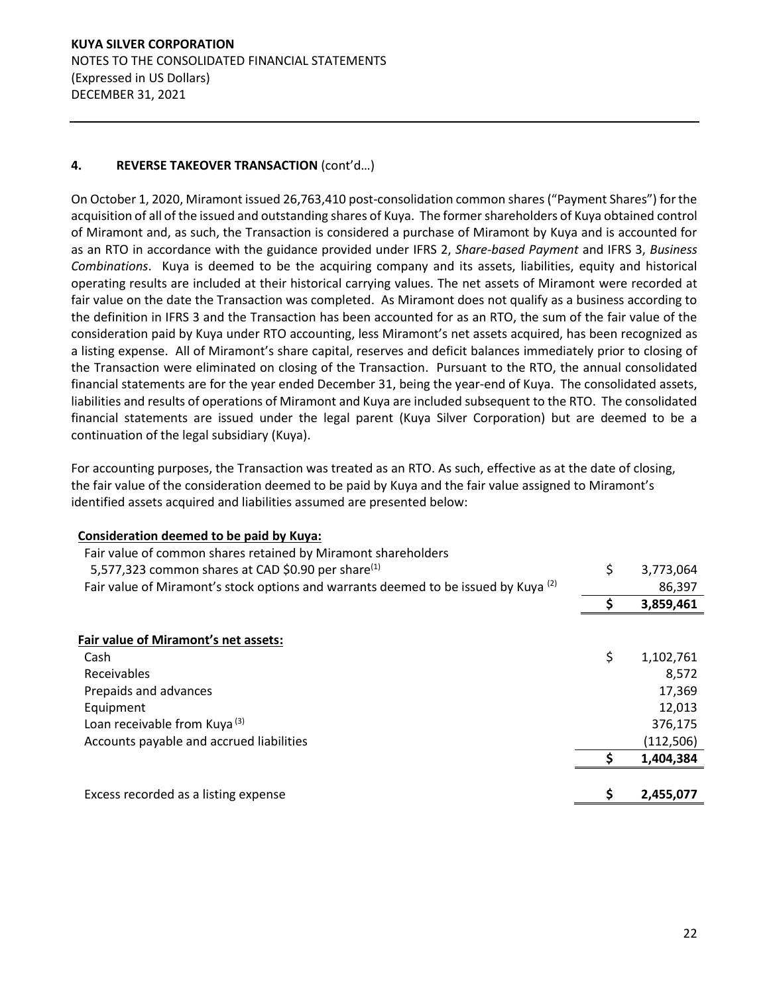# **KUYA SILVER CORPORATION**  NOTES TO THE CONSOLIDATED FINANCIAL STATEMENTS (Expressed in US Dollars) DECEMBER 31, 2021

# **4. REVERSE TAKEOVER TRANSACTION (cont'd...)**

On October 1, 2020, Miramont issued 26,763,410 post-consolidation common shares ("Payment Shares") for the acquisition of all of the issued and outstanding shares of Kuya. The former shareholders of Kuya obtained control of Miramont and, as such, the Transaction is considered a purchase of Miramont by Kuya and is accounted for as an RTO in accordance with the guidance provided under IFRS 2, *Share-based Payment* and IFRS 3, *Business Combinations*. Kuya is deemed to be the acquiring company and its assets, liabilities, equity and historical operating results are included at their historical carrying values. The net assets of Miramont were recorded at fair value on the date the Transaction was completed. As Miramont does not qualify as a business according to the definition in IFRS 3 and the Transaction has been accounted for as an RTO, the sum of the fair value of the consideration paid by Kuya under RTO accounting, less Miramont's net assets acquired, has been recognized as a listing expense. All of Miramont's share capital, reserves and deficit balances immediately prior to closing of the Transaction were eliminated on closing of the Transaction. Pursuant to the RTO, the annual consolidated financial statements are for the year ended December 31, being the year-end of Kuya. The consolidated assets, liabilities and results of operations of Miramont and Kuya are included subsequent to the RTO. The consolidated financial statements are issued under the legal parent (Kuya Silver Corporation) but are deemed to be a continuation of the legal subsidiary (Kuya).

For accounting purposes, the Transaction was treated as an RTO. As such, effective as at the date of closing, the fair value of the consideration deemed to be paid by Kuya and the fair value assigned to Miramont's identified assets acquired and liabilities assumed are presented below:

| Consideration deemed to be paid by Kuya:<br>Fair value of common shares retained by Miramont shareholders |    |            |
|-----------------------------------------------------------------------------------------------------------|----|------------|
| 5,577,323 common shares at CAD \$0.90 per share <sup>(1)</sup>                                            | \$ | 3,773,064  |
| Fair value of Miramont's stock options and warrants deemed to be issued by Kuya <sup>(2)</sup>            |    | 86,397     |
|                                                                                                           | S. | 3,859,461  |
|                                                                                                           |    |            |
| Fair value of Miramont's net assets:                                                                      |    |            |
| Cash                                                                                                      | \$ | 1,102,761  |
| Receivables                                                                                               |    | 8,572      |
| Prepaids and advances                                                                                     |    | 17,369     |
| Equipment                                                                                                 |    | 12,013     |
| Loan receivable from Kuya <sup>(3)</sup>                                                                  |    | 376,175    |
| Accounts payable and accrued liabilities                                                                  |    | (112, 506) |
|                                                                                                           |    | 1,404,384  |
|                                                                                                           |    |            |
| Excess recorded as a listing expense                                                                      |    | 2,455,077  |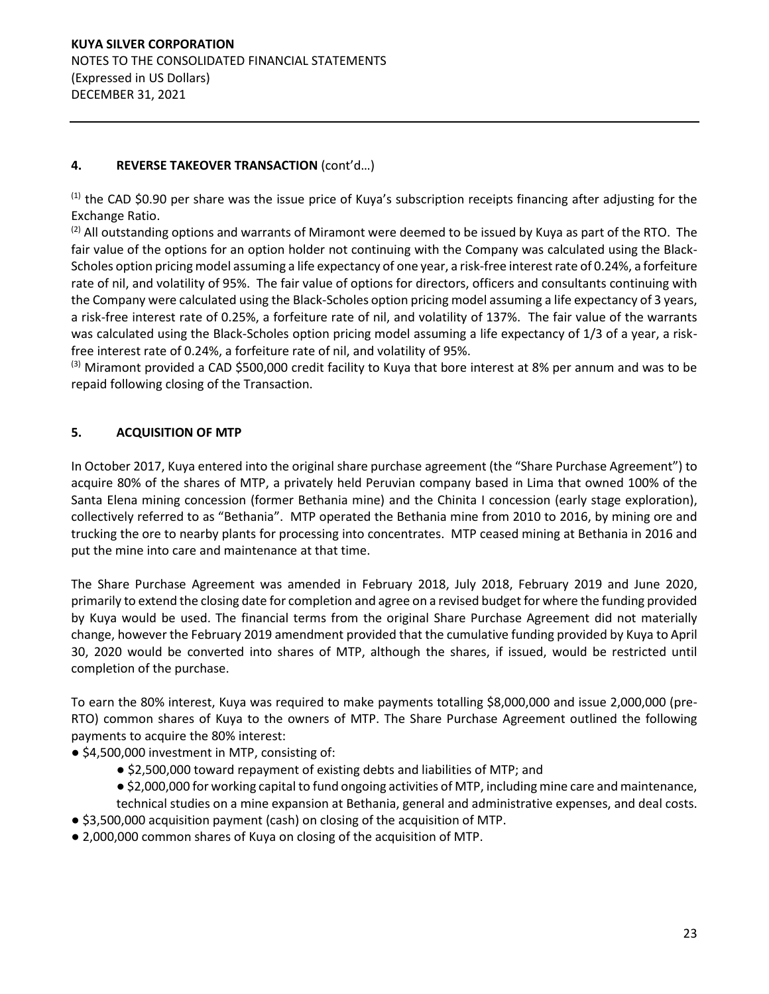# **4. REVERSE TAKEOVER TRANSACTION (cont'd...)**

 $(1)$  the CAD \$0.90 per share was the issue price of Kuya's subscription receipts financing after adjusting for the Exchange Ratio.

 $(2)$  All outstanding options and warrants of Miramont were deemed to be issued by Kuya as part of the RTO. The fair value of the options for an option holder not continuing with the Company was calculated using the Black-Scholes option pricing model assuming a life expectancy of one year, a risk-free interest rate of 0.24%, a forfeiture rate of nil, and volatility of 95%. The fair value of options for directors, officers and consultants continuing with the Company were calculated using the Black-Scholes option pricing model assuming a life expectancy of 3 years, a risk-free interest rate of 0.25%, a forfeiture rate of nil, and volatility of 137%. The fair value of the warrants was calculated using the Black-Scholes option pricing model assuming a life expectancy of 1/3 of a year, a riskfree interest rate of 0.24%, a forfeiture rate of nil, and volatility of 95%.

 $(3)$  Miramont provided a CAD \$500,000 credit facility to Kuya that bore interest at 8% per annum and was to be repaid following closing of the Transaction.

# **5. ACQUISITION OF MTP**

In October 2017, Kuya entered into the original share purchase agreement (the "Share Purchase Agreement") to acquire 80% of the shares of MTP, a privately held Peruvian company based in Lima that owned 100% of the Santa Elena mining concession (former Bethania mine) and the Chinita I concession (early stage exploration), collectively referred to as "Bethania". MTP operated the Bethania mine from 2010 to 2016, by mining ore and trucking the ore to nearby plants for processing into concentrates. MTP ceased mining at Bethania in 2016 and put the mine into care and maintenance at that time.

The Share Purchase Agreement was amended in February 2018, July 2018, February 2019 and June 2020, primarily to extend the closing date for completion and agree on a revised budget for where the funding provided by Kuya would be used. The financial terms from the original Share Purchase Agreement did not materially change, however the February 2019 amendment provided that the cumulative funding provided by Kuya to April 30, 2020 would be converted into shares of MTP, although the shares, if issued, would be restricted until completion of the purchase.

To earn the 80% interest, Kuya was required to make payments totalling \$8,000,000 and issue 2,000,000 (pre-RTO) common shares of Kuya to the owners of MTP. The Share Purchase Agreement outlined the following payments to acquire the 80% interest:

- \$4,500,000 investment in MTP, consisting of:
	- \$2,500,000 toward repayment of existing debts and liabilities of MTP; and
	- \$2,000,000 for working capital to fund ongoing activities of MTP, including mine care and maintenance, technical studies on a mine expansion at Bethania, general and administrative expenses, and deal costs.
- \$3,500,000 acquisition payment (cash) on closing of the acquisition of MTP.
- 2,000,000 common shares of Kuya on closing of the acquisition of MTP.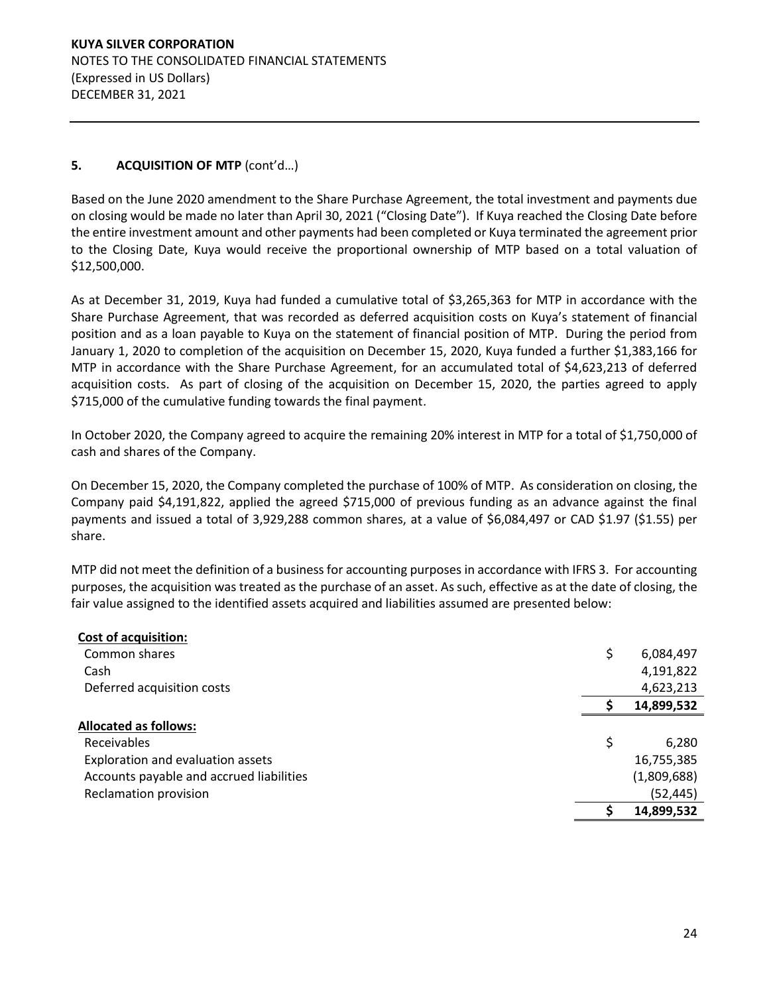# **5. ACQUISITION OF MTP** (cont'd...)

Based on the June 2020 amendment to the Share Purchase Agreement, the total investment and payments due on closing would be made no later than April 30, 2021 ("Closing Date"). If Kuya reached the Closing Date before the entire investment amount and other payments had been completed or Kuya terminated the agreement prior to the Closing Date, Kuya would receive the proportional ownership of MTP based on a total valuation of \$12,500,000.

As at December 31, 2019, Kuya had funded a cumulative total of \$3,265,363 for MTP in accordance with the Share Purchase Agreement, that was recorded as deferred acquisition costs on Kuya's statement of financial position and as a loan payable to Kuya on the statement of financial position of MTP. During the period from January 1, 2020 to completion of the acquisition on December 15, 2020, Kuya funded a further \$1,383,166 for MTP in accordance with the Share Purchase Agreement, for an accumulated total of \$4,623,213 of deferred acquisition costs. As part of closing of the acquisition on December 15, 2020, the parties agreed to apply \$715,000 of the cumulative funding towards the final payment.

In October 2020, the Company agreed to acquire the remaining 20% interest in MTP for a total of \$1,750,000 of cash and shares of the Company.

On December 15, 2020, the Company completed the purchase of 100% of MTP. As consideration on closing, the Company paid \$4,191,822, applied the agreed \$715,000 of previous funding as an advance against the final payments and issued a total of 3,929,288 common shares, at a value of \$6,084,497 or CAD \$1.97 (\$1.55) per share.

MTP did not meet the definition of a business for accounting purposes in accordance with IFRS 3. For accounting purposes, the acquisition was treated as the purchase of an asset. As such, effective as at the date of closing, the fair value assigned to the identified assets acquired and liabilities assumed are presented below:

| <b>Cost of acquisition:</b>              |                 |
|------------------------------------------|-----------------|
| Common shares                            | \$<br>6,084,497 |
| Cash                                     | 4,191,822       |
| Deferred acquisition costs               | 4,623,213       |
|                                          | 14,899,532      |
| <b>Allocated as follows:</b>             |                 |
| <b>Receivables</b>                       | \$<br>6,280     |
| Exploration and evaluation assets        | 16,755,385      |
| Accounts payable and accrued liabilities | (1,809,688)     |
| Reclamation provision                    | (52, 445)       |
|                                          | 14,899,532      |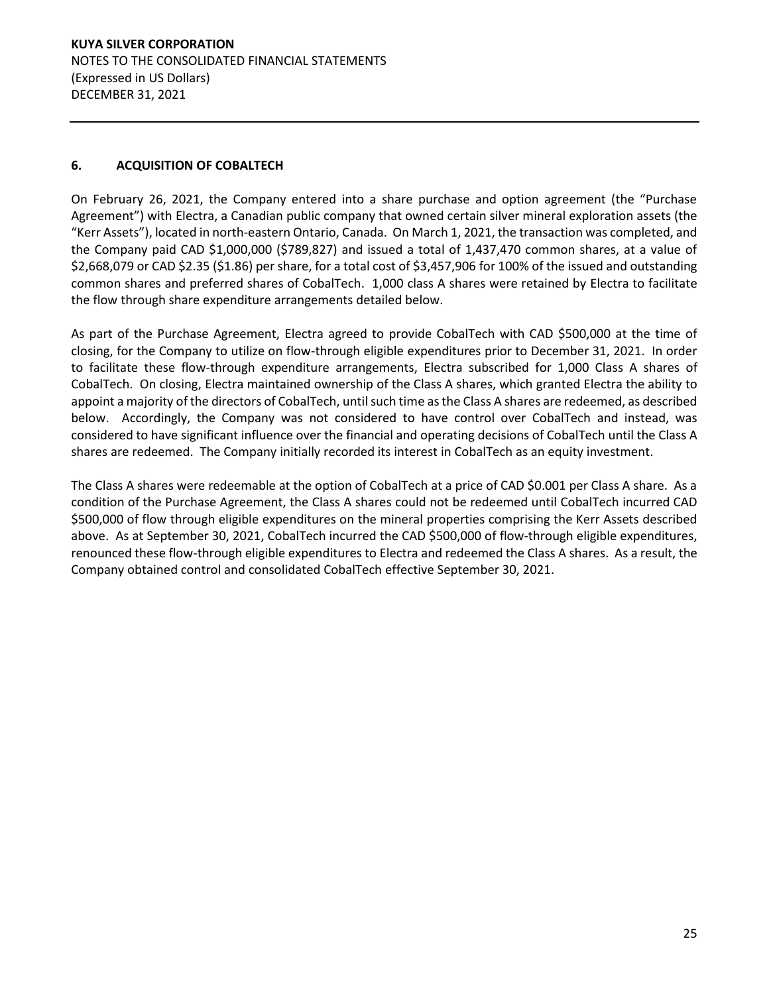# **KUYA SILVER CORPORATION**  NOTES TO THE CONSOLIDATED FINANCIAL STATEMENTS (Expressed in US Dollars) DECEMBER 31, 2021

# **6. ACQUISITION OF COBALTECH**

On February 26, 2021, the Company entered into a share purchase and option agreement (the "Purchase Agreement") with Electra, a Canadian public company that owned certain silver mineral exploration assets (the ͞Kerr Assets͟), located in north-eastern Ontario, Canada. On March 1, 2021, the transaction was completed, and the Company paid CAD \$1,000,000 (\$789,827) and issued a total of 1,437,470 common shares, at a value of \$2,668,079 or CAD \$2.35 (\$1.86) per share, for a total cost of \$3,457,906 for 100% of the issued and outstanding common shares and preferred shares of CobalTech. 1,000 class A shares were retained by Electra to facilitate the flow through share expenditure arrangements detailed below.

As part of the Purchase Agreement, Electra agreed to provide CobalTech with CAD \$500,000 at the time of closing, for the Company to utilize on flow-through eligible expenditures prior to December 31, 2021. In order to facilitate these flow-through expenditure arrangements, Electra subscribed for 1,000 Class A shares of CobalTech. On closing, Electra maintained ownership of the Class A shares, which granted Electra the ability to appoint a majority of the directors of CobalTech, until such time as the Class A shares are redeemed, as described below. Accordingly, the Company was not considered to have control over CobalTech and instead, was considered to have significant influence over the financial and operating decisions of CobalTech until the Class A shares are redeemed. The Company initially recorded its interest in CobalTech as an equity investment.

The Class A shares were redeemable at the option of CobalTech at a price of CAD \$0.001 per Class A share. As a condition of the Purchase Agreement, the Class A shares could not be redeemed until CobalTech incurred CAD \$500,000 of flow through eligible expenditures on the mineral properties comprising the Kerr Assets described above. As at September 30, 2021, CobalTech incurred the CAD \$500,000 of flow-through eligible expenditures, renounced these flow-through eligible expenditures to Electra and redeemed the Class A shares. As a result, the Company obtained control and consolidated CobalTech effective September 30, 2021.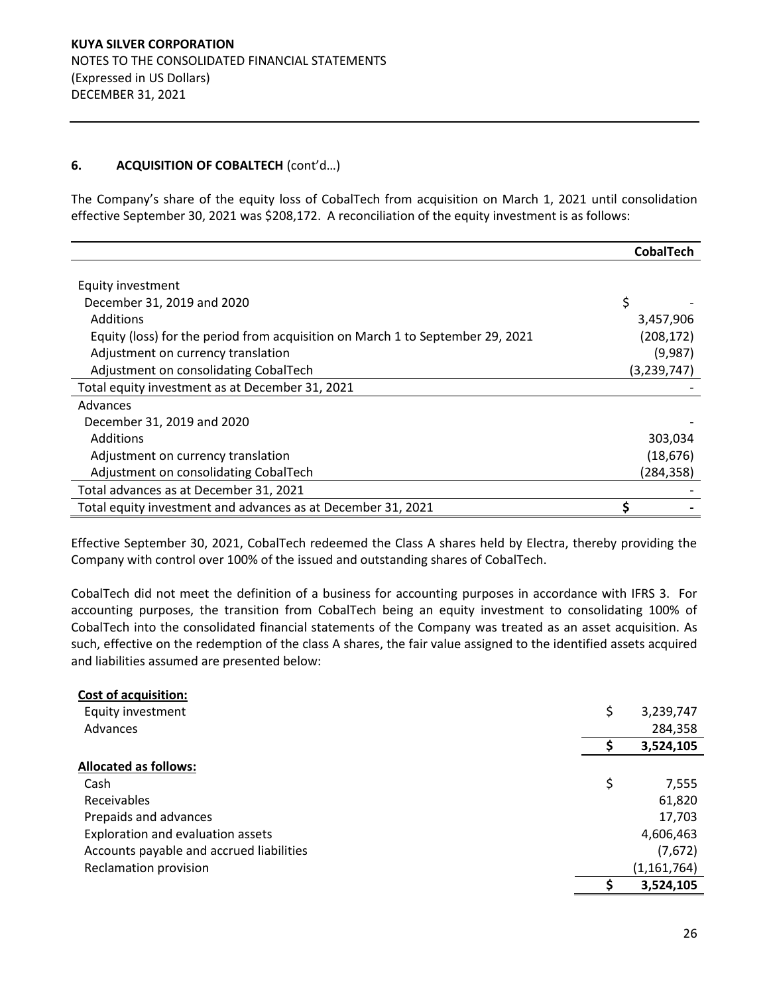## **6. ACQUISITION OF COBALTECH** (cont'd...)

The Company's share of the equity loss of CobalTech from acquisition on March 1, 2021 until consolidation effective September 30, 2021 was \$208,172. A reconciliation of the equity investment is as follows:

|                                                                                | <b>CobalTech</b> |
|--------------------------------------------------------------------------------|------------------|
|                                                                                |                  |
| Equity investment                                                              |                  |
| December 31, 2019 and 2020                                                     | \$               |
| <b>Additions</b>                                                               | 3,457,906        |
| Equity (loss) for the period from acquisition on March 1 to September 29, 2021 | (208, 172)       |
| Adjustment on currency translation                                             | (9,987)          |
| Adjustment on consolidating CobalTech                                          | (3, 239, 747)    |
| Total equity investment as at December 31, 2021                                |                  |
| Advances                                                                       |                  |
| December 31, 2019 and 2020                                                     |                  |
| <b>Additions</b>                                                               | 303,034          |
| Adjustment on currency translation                                             | (18, 676)        |
| Adjustment on consolidating CobalTech                                          | (284,358)        |
| Total advances as at December 31, 2021                                         |                  |
| Total equity investment and advances as at December 31, 2021                   | \$               |

Effective September 30, 2021, CobalTech redeemed the Class A shares held by Electra, thereby providing the Company with control over 100% of the issued and outstanding shares of CobalTech.

CobalTech did not meet the definition of a business for accounting purposes in accordance with IFRS 3. For accounting purposes, the transition from CobalTech being an equity investment to consolidating 100% of CobalTech into the consolidated financial statements of the Company was treated as an asset acquisition. As such, effective on the redemption of the class A shares, the fair value assigned to the identified assets acquired and liabilities assumed are presented below:

| <b>Cost of acquisition:</b>              |                 |
|------------------------------------------|-----------------|
| Equity investment                        | \$<br>3,239,747 |
| Advances                                 | 284,358         |
|                                          | 3,524,105       |
| <b>Allocated as follows:</b>             |                 |
| Cash                                     | \$<br>7,555     |
| Receivables                              | 61,820          |
| Prepaids and advances                    | 17,703          |
| Exploration and evaluation assets        | 4,606,463       |
| Accounts payable and accrued liabilities | (7,672)         |
| Reclamation provision                    | (1, 161, 764)   |
|                                          | 3,524,105       |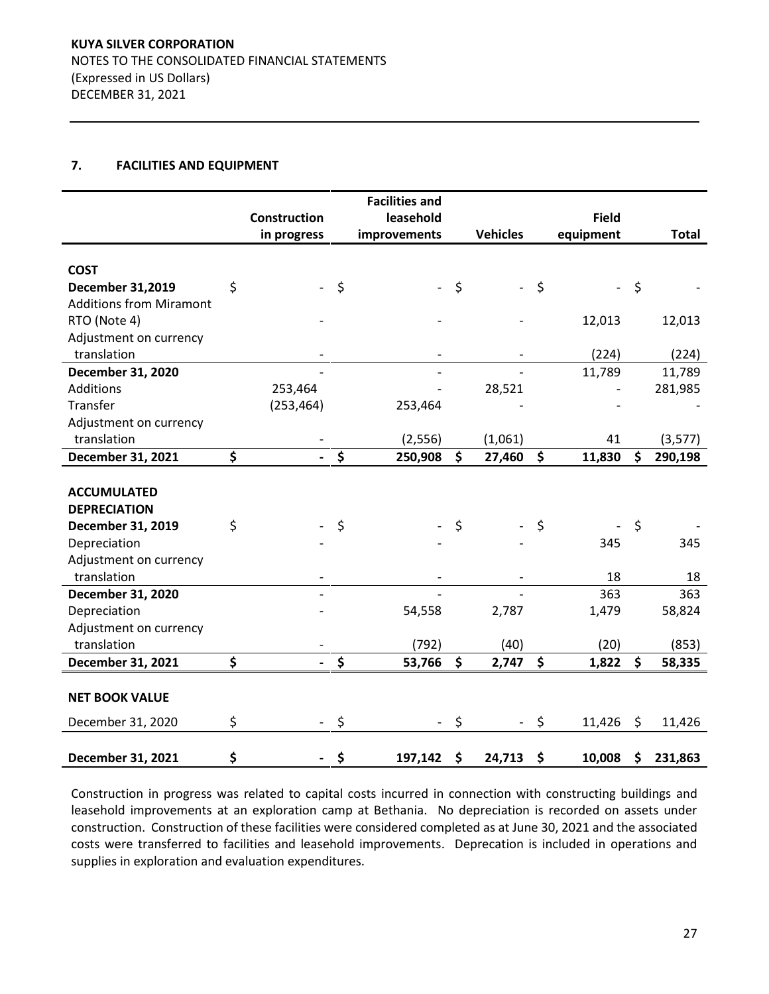## **7. FACILITIES AND EQUIPMENT**

|                                |                     |                    | <b>Facilities and</b> |                                |              |               |
|--------------------------------|---------------------|--------------------|-----------------------|--------------------------------|--------------|---------------|
|                                | <b>Construction</b> |                    | leasehold             |                                | <b>Field</b> |               |
|                                | in progress         |                    | improvements          | <b>Vehicles</b>                | equipment    | <b>Total</b>  |
|                                |                     |                    |                       |                                |              |               |
| <b>COST</b>                    |                     |                    |                       |                                |              |               |
| December 31,2019               | \$                  | \$                 |                       | \$<br>$\overline{\phantom{0}}$ | \$           | \$            |
| <b>Additions from Miramont</b> |                     |                    |                       |                                |              |               |
| RTO (Note 4)                   |                     |                    |                       |                                | 12,013       | 12,013        |
| Adjustment on currency         |                     |                    |                       |                                |              |               |
| translation                    |                     |                    |                       |                                | (224)        | (224)         |
| December 31, 2020              |                     |                    |                       |                                | 11,789       | 11,789        |
| Additions                      | 253,464             |                    |                       | 28,521                         |              | 281,985       |
| Transfer                       | (253, 464)          |                    | 253,464               |                                |              |               |
| Adjustment on currency         |                     |                    |                       |                                |              |               |
| translation                    |                     |                    | (2,556)               | (1,061)                        | 41           | (3, 577)      |
| December 31, 2021              | \$                  | $\dot{\mathsf{s}}$ | 250,908               | \$<br>27,460                   | \$<br>11,830 | \$<br>290,198 |
|                                |                     |                    |                       |                                |              |               |
| <b>ACCUMULATED</b>             |                     |                    |                       |                                |              |               |
| <b>DEPRECIATION</b>            |                     |                    |                       |                                |              |               |
| December 31, 2019              | \$                  | \$                 |                       | \$                             | \$           | \$            |
| Depreciation                   |                     |                    |                       |                                | 345          | 345           |
| Adjustment on currency         |                     |                    |                       |                                |              |               |
| translation                    |                     |                    |                       |                                | 18           | 18            |
| December 31, 2020              |                     |                    |                       |                                | 363          | 363           |
| Depreciation                   |                     |                    | 54,558                | 2,787                          | 1,479        | 58,824        |
| Adjustment on currency         |                     |                    |                       |                                |              |               |
| translation                    |                     |                    | (792)                 | (40)                           | (20)         | (853)         |
| December 31, 2021              | \$                  | \$                 | 53,766                | \$<br>2,747                    | \$<br>1,822  | \$<br>58,335  |
|                                |                     |                    |                       |                                |              |               |
| <b>NET BOOK VALUE</b>          |                     |                    |                       |                                |              |               |
| December 31, 2020              | \$                  | \$                 |                       | \$                             | \$<br>11,426 | \$<br>11,426  |
| December 31, 2021              | \$                  | \$                 | 197,142               | \$<br>24,713                   | \$<br>10,008 | \$<br>231,863 |

Construction in progress was related to capital costs incurred in connection with constructing buildings and leasehold improvements at an exploration camp at Bethania. No depreciation is recorded on assets under construction. Construction of these facilities were considered completed as at June 30, 2021 and the associated costs were transferred to facilities and leasehold improvements. Deprecation is included in operations and supplies in exploration and evaluation expenditures.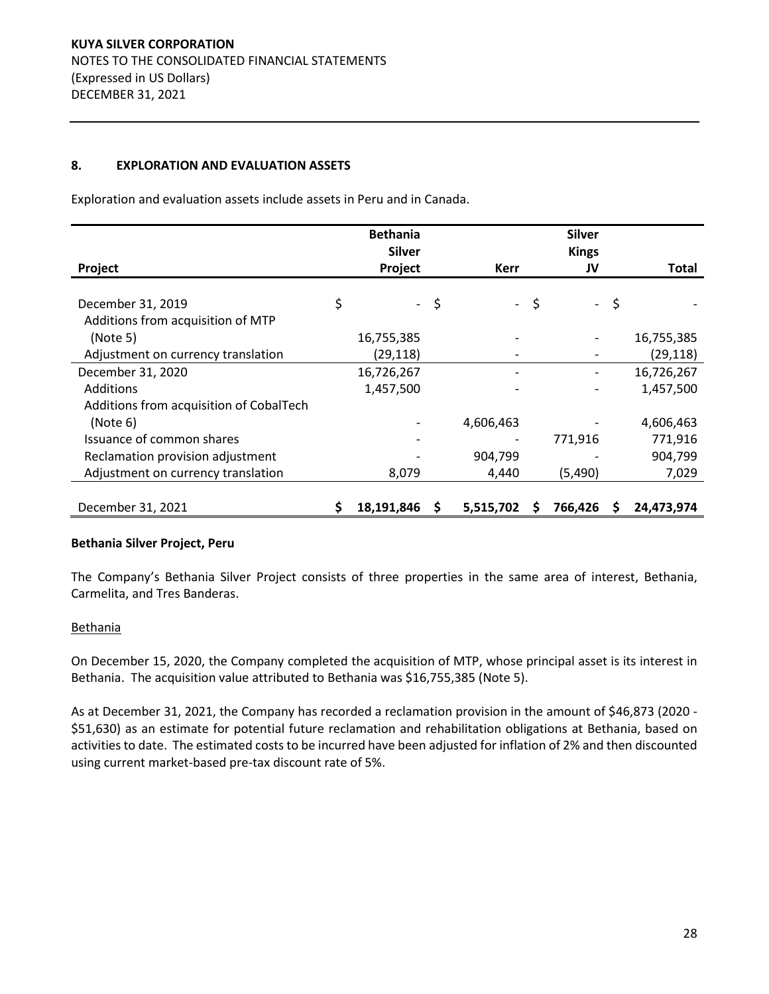## **8. EXPLORATION AND EVALUATION ASSETS**

Exploration and evaluation assets include assets in Peru and in Canada.

|                                         |    | <b>Bethania</b><br><b>Silver</b> |    |                              |    | <b>Silver</b><br><b>Kings</b> |    |              |
|-----------------------------------------|----|----------------------------------|----|------------------------------|----|-------------------------------|----|--------------|
| Project                                 |    | Project                          |    | Kerr                         |    | JV                            |    | <b>Total</b> |
|                                         |    |                                  |    |                              |    |                               |    |              |
| December 31, 2019                       | \$ | $\sim$                           | \$ | $\mathcal{L}_{\mathrm{max}}$ | \$ | $\sim$                        | \$ |              |
| Additions from acquisition of MTP       |    |                                  |    |                              |    |                               |    |              |
| (Note 5)                                |    | 16,755,385                       |    |                              |    |                               |    | 16,755,385   |
| Adjustment on currency translation      |    | (29, 118)                        |    |                              |    |                               |    | (29, 118)    |
| December 31, 2020                       |    | 16,726,267                       |    |                              |    |                               |    | 16,726,267   |
| Additions                               |    | 1,457,500                        |    |                              |    |                               |    | 1,457,500    |
| Additions from acquisition of CobalTech |    |                                  |    |                              |    |                               |    |              |
| (Note 6)                                |    |                                  |    | 4,606,463                    |    |                               |    | 4,606,463    |
| Issuance of common shares               |    |                                  |    |                              |    | 771,916                       |    | 771,916      |
| Reclamation provision adjustment        |    |                                  |    | 904,799                      |    |                               |    | 904,799      |
| Adjustment on currency translation      |    | 8,079                            |    | 4,440                        |    | (5,490)                       |    | 7,029        |
| December 31, 2021                       | Ş  | 18,191,846                       | S  | 5,515,702                    | S  | 766,426                       | S  | 24,473,974   |

## **Bethania Silver Project, Peru**

The Company's Bethania Silver Project consists of three properties in the same area of interest, Bethania, Carmelita, and Tres Banderas.

#### **Bethania**

On December 15, 2020, the Company completed the acquisition of MTP, whose principal asset is its interest in Bethania. The acquisition value attributed to Bethania was \$16,755,385 (Note 5).

As at December 31, 2021, the Company has recorded a reclamation provision in the amount of \$46,873 (2020 - \$51,630) as an estimate for potential future reclamation and rehabilitation obligations at Bethania, based on activities to date. The estimated costs to be incurred have been adjusted for inflation of 2% and then discounted using current market-based pre-tax discount rate of 5%.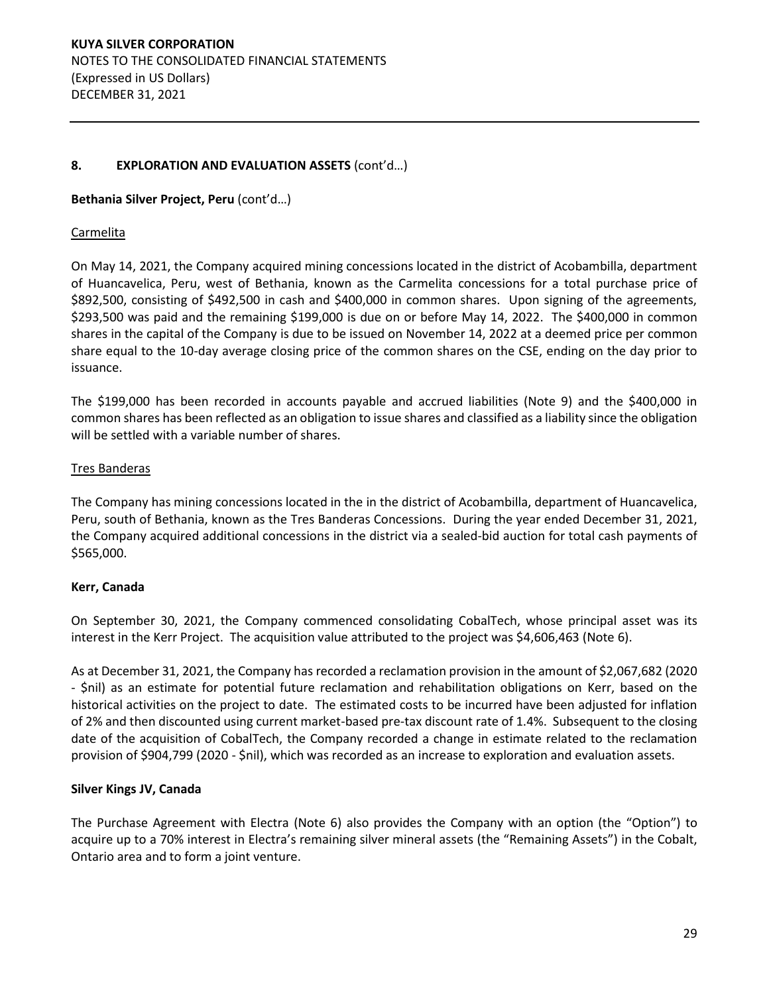## **8. EXPLORATION AND EVALUATION ASSETS**  $(cont'd...)$

## **Bethania Silver Project, Peru** (cont'd...)

## **Carmelita**

On May 14, 2021, the Company acquired mining concessions located in the district of Acobambilla, department of Huancavelica, Peru, west of Bethania, known as the Carmelita concessions for a total purchase price of \$892,500, consisting of \$492,500 in cash and \$400,000 in common shares. Upon signing of the agreements, \$293,500 was paid and the remaining \$199,000 is due on or before May 14, 2022. The \$400,000 in common shares in the capital of the Company is due to be issued on November 14, 2022 at a deemed price per common share equal to the 10-day average closing price of the common shares on the CSE, ending on the day prior to issuance.

The \$199,000 has been recorded in accounts payable and accrued liabilities (Note 9) and the \$400,000 in common shares has been reflected as an obligation to issue shares and classified as a liability since the obligation will be settled with a variable number of shares.

#### Tres Banderas

The Company has mining concessions located in the in the district of Acobambilla, department of Huancavelica, Peru, south of Bethania, known as the Tres Banderas Concessions. During the year ended December 31, 2021, the Company acquired additional concessions in the district via a sealed-bid auction for total cash payments of \$565,000.

## **Kerr, Canada**

On September 30, 2021, the Company commenced consolidating CobalTech, whose principal asset was its interest in the Kerr Project. The acquisition value attributed to the project was \$4,606,463 (Note 6).

As at December 31, 2021, the Company has recorded a reclamation provision in the amount of \$2,067,682 (2020 - \$nil) as an estimate for potential future reclamation and rehabilitation obligations on Kerr, based on the historical activities on the project to date. The estimated costs to be incurred have been adjusted for inflation of 2% and then discounted using current market-based pre-tax discount rate of 1.4%. Subsequent to the closing date of the acquisition of CobalTech, the Company recorded a change in estimate related to the reclamation provision of \$904,799 (2020 - \$nil), which was recorded as an increase to exploration and evaluation assets.

## **Silver Kings JV, Canada**

The Purchase Agreement with Electra (Note 6) also provides the Company with an option (the "Option") to acquire up to a 70% interest in Electra's remaining silver mineral assets (the "Remaining Assets") in the Cobalt, Ontario area and to form a joint venture.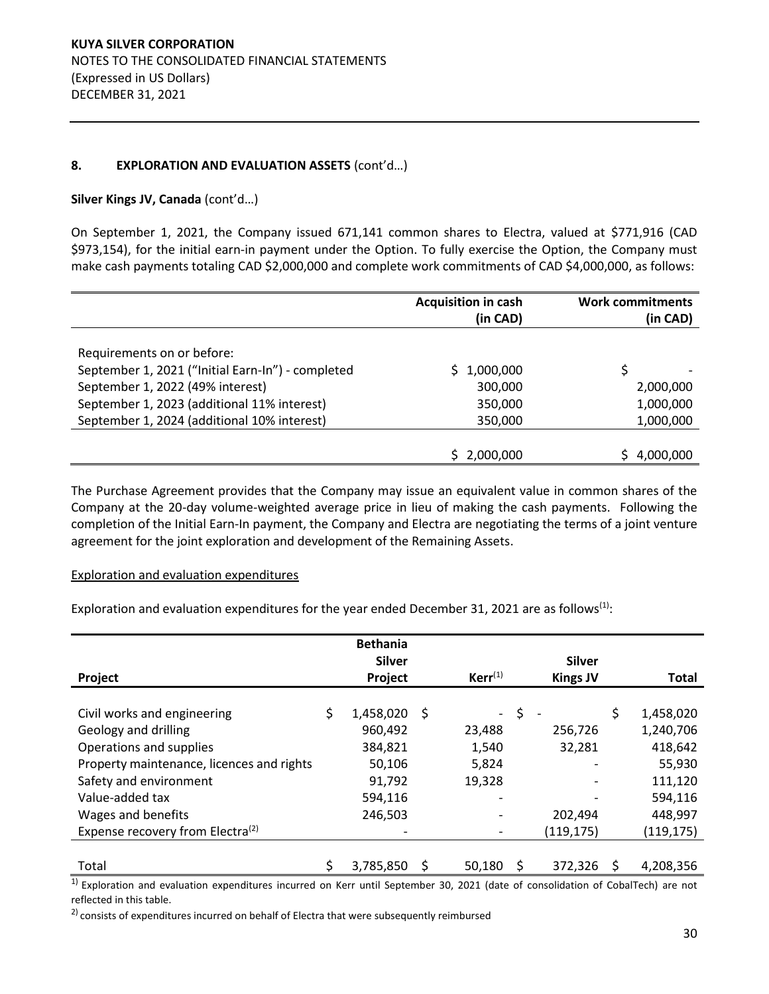## 8. **EXPLORATION AND EVALUATION ASSETS** (cont'd...)

## Silver Kings JV, Canada (cont'd...)

On September 1, 2021, the Company issued 671,141 common shares to Electra, valued at \$771,916 (CAD \$973,154), for the initial earn-in payment under the Option. To fully exercise the Option, the Company must make cash payments totaling CAD \$2,000,000 and complete work commitments of CAD \$4,000,000, as follows:

|                                                   | <b>Acquisition in cash</b> | <b>Work commitments</b> |
|---------------------------------------------------|----------------------------|-------------------------|
|                                                   | (in CAD)                   | (in CAD)                |
|                                                   |                            |                         |
| Requirements on or before:                        |                            |                         |
| September 1, 2021 ("Initial Earn-In") - completed | 1,000,000                  | \$                      |
| September 1, 2022 (49% interest)                  | 300,000                    | 2,000,000               |
| September 1, 2023 (additional 11% interest)       | 350,000                    | 1,000,000               |
| September 1, 2024 (additional 10% interest)       | 350,000                    | 1,000,000               |
|                                                   |                            |                         |
|                                                   | 2,000,000                  | 4,000,000               |

The Purchase Agreement provides that the Company may issue an equivalent value in common shares of the Company at the 20-day volume-weighted average price in lieu of making the cash payments. Following the completion of the Initial Earn-In payment, the Company and Electra are negotiating the terms of a joint venture agreement for the joint exploration and development of the Remaining Assets.

## Exploration and evaluation expenditures

Exploration and evaluation expenditures for the year ended December 31, 2021 are as follows<sup>(1)</sup>:

|                                              |    | <b>Bethania</b><br><b>Silver</b> |     |              |      | <b>Silver</b>   |                 |
|----------------------------------------------|----|----------------------------------|-----|--------------|------|-----------------|-----------------|
| Project                                      |    | Project                          |     | $Kerr^{(1)}$ |      | <b>Kings JV</b> | Total           |
|                                              |    |                                  |     |              |      |                 |                 |
| Civil works and engineering                  | \$ | 1,458,020                        | -\$ |              | - \$ |                 | \$<br>1,458,020 |
| Geology and drilling                         |    | 960,492                          |     | 23,488       |      | 256,726         | 1,240,706       |
| Operations and supplies                      |    | 384,821                          |     | 1,540        |      | 32,281          | 418,642         |
| Property maintenance, licences and rights    |    | 50,106                           |     | 5,824        |      |                 | 55,930          |
| Safety and environment                       |    | 91,792                           |     | 19,328       |      |                 | 111,120         |
| Value-added tax                              |    | 594,116                          |     |              |      |                 | 594,116         |
| Wages and benefits                           |    | 246,503                          |     |              |      | 202,494         | 448,997         |
| Expense recovery from Electra <sup>(2)</sup> |    | $\overline{\phantom{0}}$         |     |              |      | (119,175)       | (119,175)       |
|                                              |    |                                  |     |              |      |                 |                 |
| Total                                        | Ś  | 3,785,850                        |     | 50.180       |      | 372.326         | 4,208,356       |

 $\overline{1}$  Exploration and evaluation expenditures incurred on Kerr until September 30, 2021 (date of consolidation of CobalTech) are not reflected in this table.

<sup>2)</sup> consists of expenditures incurred on behalf of Electra that were subsequently reimbursed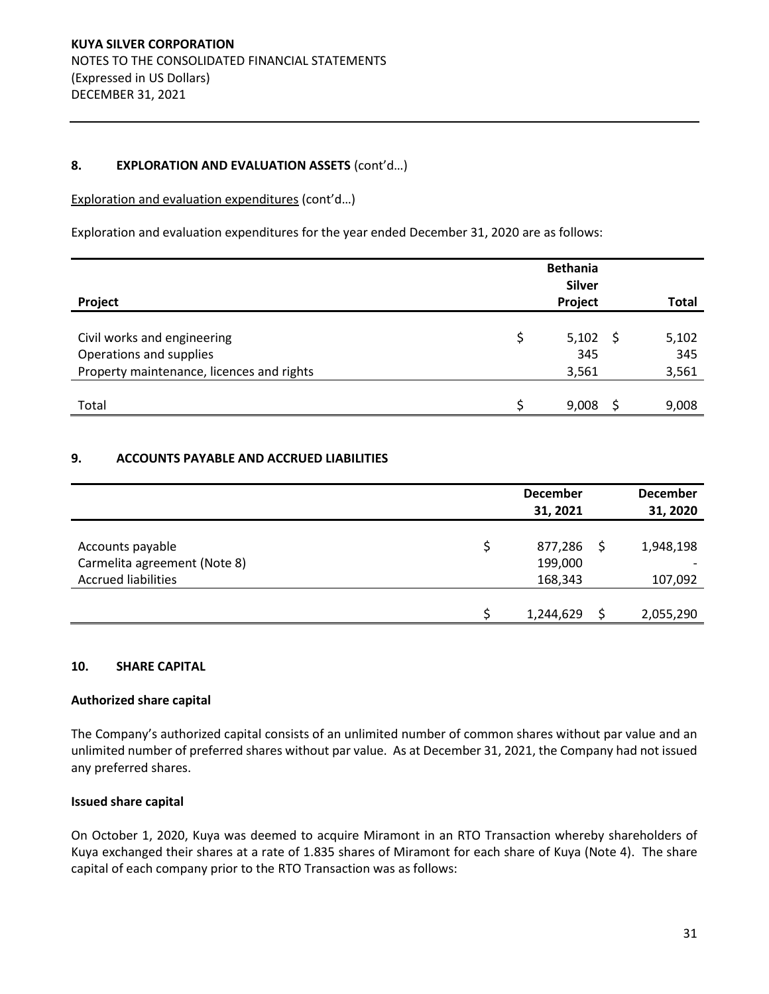## 8. **EXPLORATION AND EVALUATION ASSETS** (cont'd...)

Exploration and evaluation expenditures (cont'd...)

Exploration and evaluation expenditures for the year ended December 31, 2020 are as follows:

| Project                                   |   | <b>Bethania</b><br><b>Silver</b><br>Project |   | <b>Total</b> |
|-------------------------------------------|---|---------------------------------------------|---|--------------|
|                                           |   |                                             |   |              |
| Civil works and engineering               | Ś | $5,102$ \$                                  |   | 5,102        |
| Operations and supplies                   |   | 345                                         |   | 345          |
| Property maintenance, licences and rights |   | 3,561                                       |   | 3,561        |
|                                           |   |                                             |   |              |
| Total                                     |   | 9,008                                       | S | 9,008        |

## **9. ACCOUNTS PAYABLE AND ACCRUED LIABILITIES**

|                                                  | <b>December</b><br>31, 2021 | <b>December</b><br>31, 2020 |
|--------------------------------------------------|-----------------------------|-----------------------------|
| Accounts payable<br>Carmelita agreement (Note 8) | 877,286<br>199,000          | 1,948,198                   |
| <b>Accrued liabilities</b>                       | 168,343                     | 107,092                     |
|                                                  | 1,244,629                   | 2,055,290                   |

## **10. SHARE CAPITAL**

## **Authorized share capital**

The Company's authorized capital consists of an unlimited number of common shares without par value and an unlimited number of preferred shares without par value. As at December 31, 2021, the Company had not issued any preferred shares.

## **Issued share capital**

On October 1, 2020, Kuya was deemed to acquire Miramont in an RTO Transaction whereby shareholders of Kuya exchanged their shares at a rate of 1.835 shares of Miramont for each share of Kuya (Note 4). The share capital of each company prior to the RTO Transaction was as follows: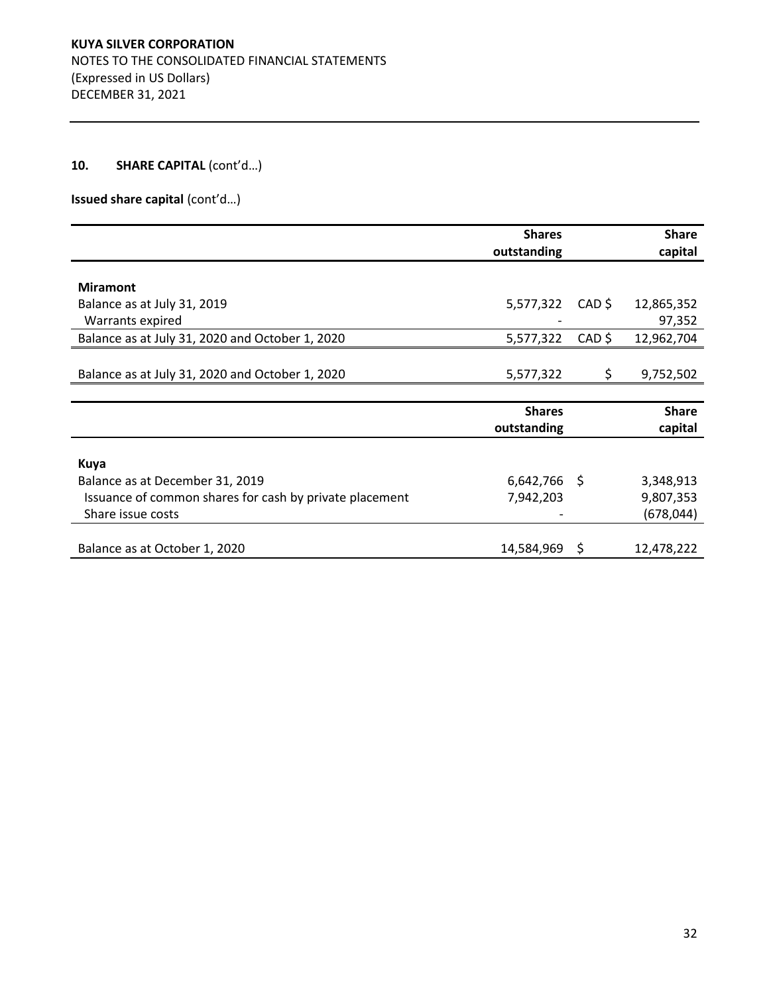**Issued share capital (cont'd...)** 

|                                                         | <b>Shares</b>  |          | <b>Share</b> |
|---------------------------------------------------------|----------------|----------|--------------|
|                                                         | outstanding    |          | capital      |
| <b>Miramont</b>                                         |                |          |              |
| Balance as at July 31, 2019                             | 5,577,322      | CAD \$   | 12,865,352   |
| Warrants expired                                        |                |          | 97,352       |
| Balance as at July 31, 2020 and October 1, 2020         | 5,577,322      | $CAD$ \$ | 12,962,704   |
|                                                         |                |          |              |
| Balance as at July 31, 2020 and October 1, 2020         | 5,577,322      | S.       | 9,752,502    |
|                                                         |                |          |              |
|                                                         | <b>Shares</b>  |          | <b>Share</b> |
|                                                         | outstanding    |          | capital      |
|                                                         |                |          |              |
| Kuya                                                    |                |          |              |
| Balance as at December 31, 2019                         | $6,642,766$ \$ |          | 3,348,913    |
| Issuance of common shares for cash by private placement | 7,942,203      |          | 9,807,353    |
| Share issue costs                                       |                |          | (678, 044)   |
|                                                         |                |          |              |
| Balance as at October 1, 2020                           | 14,584,969 \$  |          | 12,478,222   |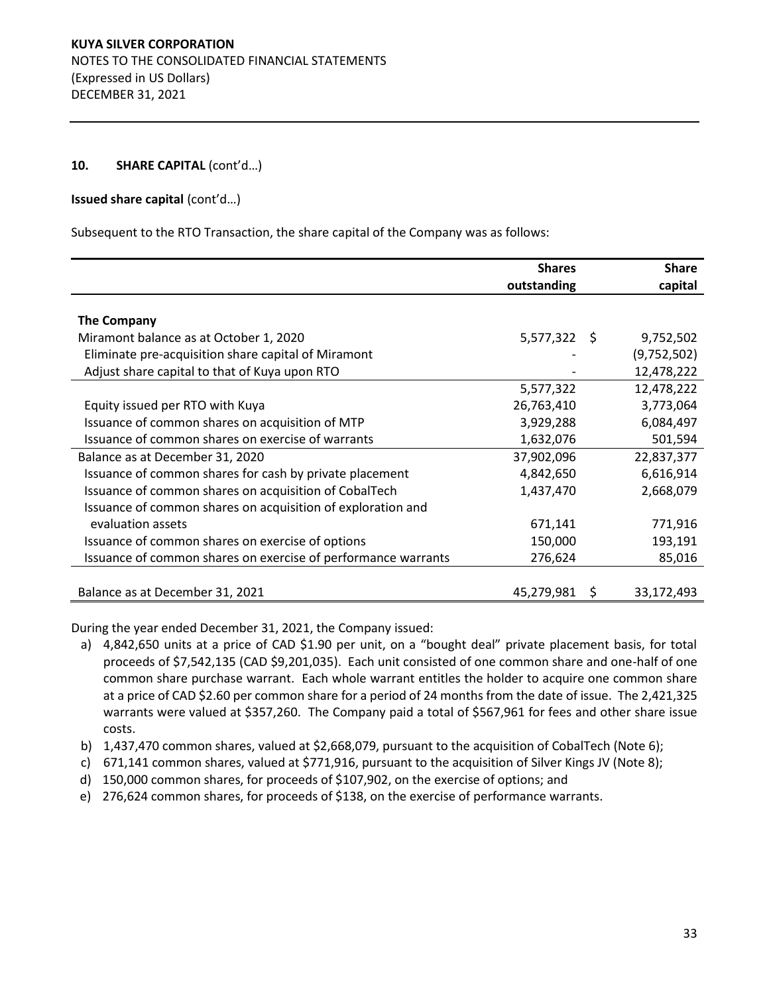#### **Issued share capital (cont'd...)**

Subsequent to the RTO Transaction, the share capital of the Company was as follows:

|                                                               | <b>Shares</b><br>outstanding | <b>Share</b><br>capital |
|---------------------------------------------------------------|------------------------------|-------------------------|
|                                                               |                              |                         |
| <b>The Company</b>                                            |                              |                         |
| Miramont balance as at October 1, 2020                        | $5,577,322$ \$               | 9,752,502               |
| Eliminate pre-acquisition share capital of Miramont           |                              | (9,752,502)             |
| Adjust share capital to that of Kuya upon RTO                 |                              | 12,478,222              |
|                                                               | 5,577,322                    | 12,478,222              |
| Equity issued per RTO with Kuya                               | 26,763,410                   | 3,773,064               |
| Issuance of common shares on acquisition of MTP               | 3,929,288                    | 6,084,497               |
| Issuance of common shares on exercise of warrants             | 1,632,076                    | 501,594                 |
| Balance as at December 31, 2020                               | 37,902,096                   | 22,837,377              |
| Issuance of common shares for cash by private placement       | 4,842,650                    | 6,616,914               |
| Issuance of common shares on acquisition of CobalTech         | 1,437,470                    | 2,668,079               |
| Issuance of common shares on acquisition of exploration and   |                              |                         |
| evaluation assets                                             | 671,141                      | 771,916                 |
| Issuance of common shares on exercise of options              | 150,000                      | 193,191                 |
| Issuance of common shares on exercise of performance warrants | 276,624                      | 85,016                  |
|                                                               |                              |                         |
| Balance as at December 31, 2021                               | 45,279,981 \$                | 33,172,493              |

During the year ended December 31, 2021, the Company issued:

- a) 4,842,650 units at a price of CAD \$1.90 per unit, on a "bought deal" private placement basis, for total proceeds of \$7,542,135 (CAD \$9,201,035). Each unit consisted of one common share and one-half of one common share purchase warrant. Each whole warrant entitles the holder to acquire one common share at a price of CAD \$2.60 per common share for a period of 24 months from the date of issue. The 2,421,325 warrants were valued at \$357,260. The Company paid a total of \$567,961 for fees and other share issue costs.
- b) 1,437,470 common shares, valued at \$2,668,079, pursuant to the acquisition of CobalTech (Note 6);
- c) 671,141 common shares, valued at \$771,916, pursuant to the acquisition of Silver Kings JV (Note 8);
- d) 150,000 common shares, for proceeds of \$107,902, on the exercise of options; and
- e) 276,624 common shares, for proceeds of \$138, on the exercise of performance warrants.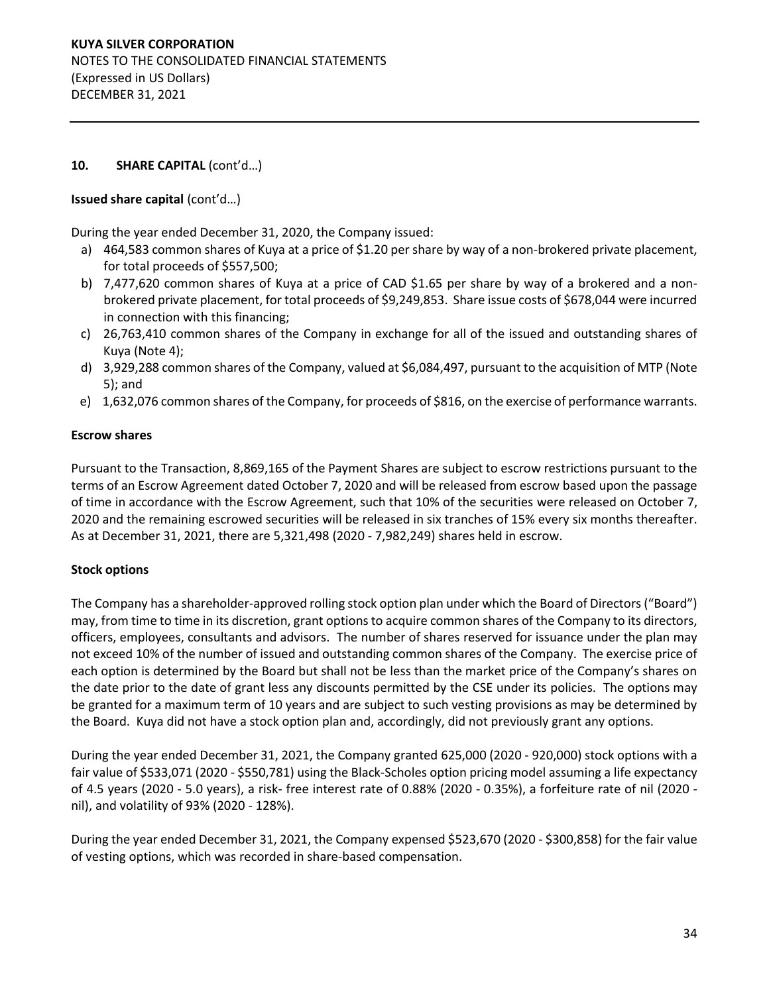## **Issued share capital (cont'd...)**

During the year ended December 31, 2020, the Company issued:

- a) 464,583 common shares of Kuya at a price of \$1.20 per share by way of a non-brokered private placement, for total proceeds of \$557,500;
- b) 7,477,620 common shares of Kuya at a price of CAD \$1.65 per share by way of a brokered and a nonbrokered private placement, for total proceeds of \$9,249,853. Share issue costs of \$678,044 were incurred in connection with this financing;
- c) 26,763,410 common shares of the Company in exchange for all of the issued and outstanding shares of Kuya (Note 4);
- d) 3,929,288 common shares of the Company, valued at \$6,084,497, pursuant to the acquisition of MTP (Note 5); and
- e) 1,632,076 common shares of the Company, for proceeds of \$816, on the exercise of performance warrants.

## **Escrow shares**

Pursuant to the Transaction, 8,869,165 of the Payment Shares are subject to escrow restrictions pursuant to the terms of an Escrow Agreement dated October 7, 2020 and will be released from escrow based upon the passage of time in accordance with the Escrow Agreement, such that 10% of the securities were released on October 7, 2020 and the remaining escrowed securities will be released in six tranches of 15% every six months thereafter. As at December 31, 2021, there are 5,321,498 (2020 - 7,982,249) shares held in escrow.

## **Stock options**

The Company has a shareholder-approved rolling stock option plan under which the Board of Directors ("Board") may, from time to time in its discretion, grant options to acquire common shares of the Company to its directors, officers, employees, consultants and advisors. The number of shares reserved for issuance under the plan may not exceed 10% of the number of issued and outstanding common shares of the Company. The exercise price of each option is determined by the Board but shall not be less than the market price of the Company's shares on the date prior to the date of grant less any discounts permitted by the CSE under its policies. The options may be granted for a maximum term of 10 years and are subject to such vesting provisions as may be determined by the Board. Kuya did not have a stock option plan and, accordingly, did not previously grant any options.

During the year ended December 31, 2021, the Company granted 625,000 (2020 - 920,000) stock options with a fair value of \$533,071 (2020 - \$550,781) using the Black-Scholes option pricing model assuming a life expectancy of 4.5 years (2020 - 5.0 years), a risk- free interest rate of 0.88% (2020 - 0.35%), a forfeiture rate of nil (2020 nil), and volatility of 93% (2020 - 128%).

During the year ended December 31, 2021, the Company expensed \$523,670 (2020 - \$300,858) for the fair value of vesting options, which was recorded in share-based compensation.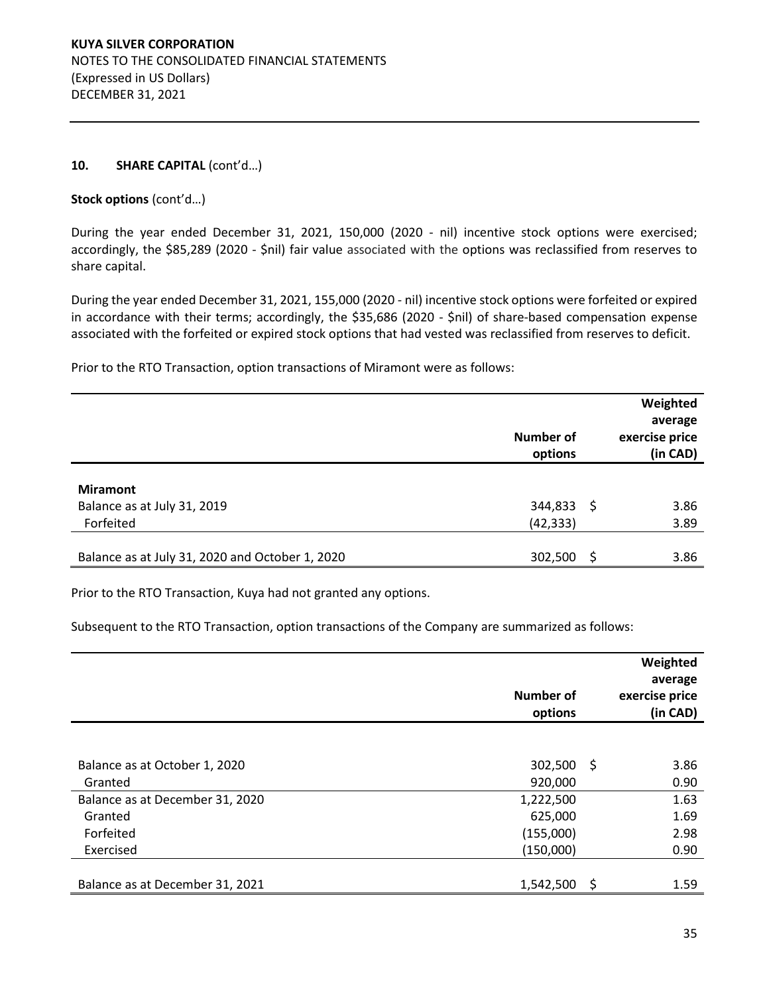#### Stock options (cont'd...)

During the year ended December 31, 2021, 150,000 (2020 - nil) incentive stock options were exercised; accordingly, the \$85,289 (2020 - \$nil) fair value associated with the options was reclassified from reserves to share capital.

During the year ended December 31, 2021, 155,000 (2020 - nil) incentive stock options were forfeited or expired in accordance with their terms; accordingly, the \$35,686 (2020 - \$nil) of share-based compensation expense associated with the forfeited or expired stock options that had vested was reclassified from reserves to deficit.

Prior to the RTO Transaction, option transactions of Miramont were as follows:

|                                                 | <b>Number of</b><br>options |     | Weighted<br>average<br>exercise price<br>(in CAD) |
|-------------------------------------------------|-----------------------------|-----|---------------------------------------------------|
| <b>Miramont</b>                                 |                             |     |                                                   |
| Balance as at July 31, 2019                     | 344,833                     | - S | 3.86                                              |
| Forfeited                                       | (42, 333)                   |     | 3.89                                              |
|                                                 |                             |     |                                                   |
| Balance as at July 31, 2020 and October 1, 2020 | 302,500                     | S   | 3.86                                              |

Prior to the RTO Transaction, Kuya had not granted any options.

Subsequent to the RTO Transaction, option transactions of the Company are summarized as follows:

|                                 | <b>Number of</b><br>options |      | Weighted<br>average<br>exercise price<br>(in CAD) |
|---------------------------------|-----------------------------|------|---------------------------------------------------|
|                                 |                             |      |                                                   |
| Balance as at October 1, 2020   | 302,500                     | - \$ | 3.86                                              |
| Granted                         | 920,000                     |      | 0.90                                              |
| Balance as at December 31, 2020 | 1,222,500                   |      | 1.63                                              |
| Granted                         | 625,000                     |      | 1.69                                              |
| Forfeited                       | (155,000)                   |      | 2.98                                              |
| Exercised                       | (150,000)                   |      | 0.90                                              |
|                                 |                             |      |                                                   |
| Balance as at December 31, 2021 | 1,542,500                   | - S  | 1.59                                              |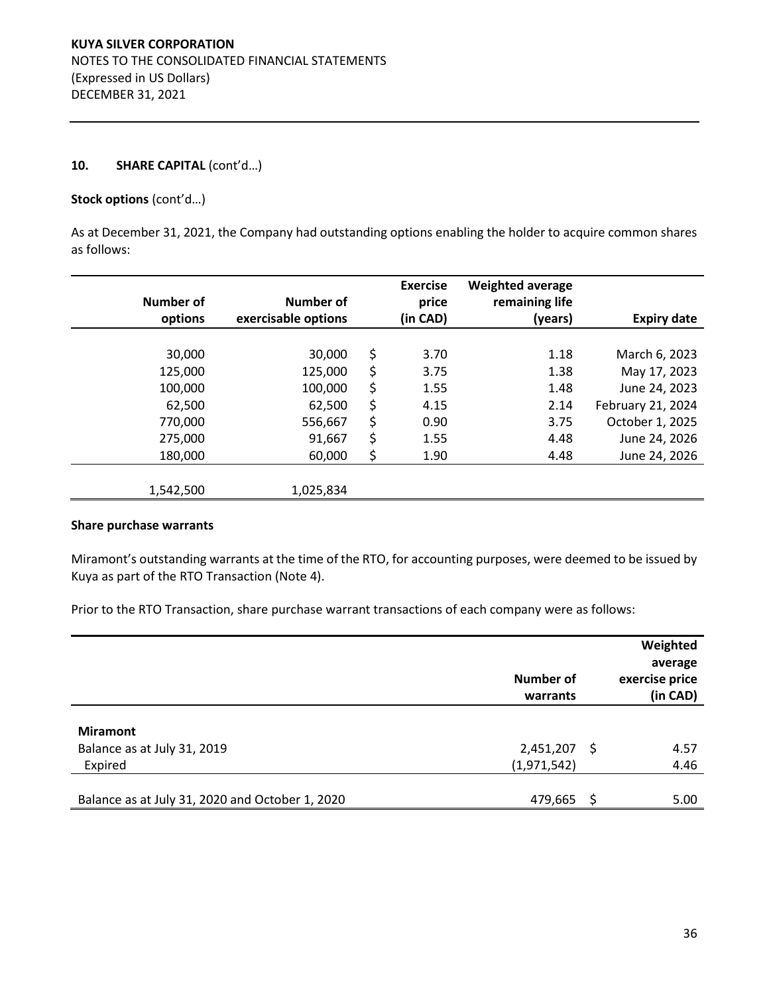#### Stock options (cont'd...)

As at December 31, 2021, the Company had outstanding options enabling the holder to acquire common shares as follows:

| Number of<br>options | Number of<br>exercisable options | <b>Exercise</b><br>price<br>(in CAD) | <b>Weighted average</b><br>remaining life<br>(years) | <b>Expiry date</b> |
|----------------------|----------------------------------|--------------------------------------|------------------------------------------------------|--------------------|
|                      |                                  |                                      |                                                      |                    |
| 30,000               | 30,000                           | \$<br>3.70                           | 1.18                                                 | March 6, 2023      |
| 125,000              | 125,000                          | \$<br>3.75                           | 1.38                                                 | May 17, 2023       |
| 100,000              | 100,000                          | \$<br>1.55                           | 1.48                                                 | June 24, 2023      |
| 62,500               | 62,500                           | \$<br>4.15                           | 2.14                                                 | February 21, 2024  |
| 770,000              | 556,667                          | \$<br>0.90                           | 3.75                                                 | October 1, 2025    |
| 275,000              | 91,667                           | \$<br>1.55                           | 4.48                                                 | June 24, 2026      |
| 180,000              | 60,000                           | \$<br>1.90                           | 4.48                                                 | June 24, 2026      |
|                      |                                  |                                      |                                                      |                    |
| 1,542,500            | 1,025,834                        |                                      |                                                      |                    |

## **Share purchase warrants**

Miramont's outstanding warrants at the time of the RTO, for accounting purposes, were deemed to be issued by Kuya as part of the RTO Transaction (Note 4).

Prior to the RTO Transaction, share purchase warrant transactions of each company were as follows:

|                                                            | Number of<br>warrants  |     | Weighted<br>average<br>exercise price<br>(in CAD) |
|------------------------------------------------------------|------------------------|-----|---------------------------------------------------|
| <b>Miramont</b><br>Balance as at July 31, 2019             | 2,451,207              | - S | 4.57                                              |
| Expired<br>Balance as at July 31, 2020 and October 1, 2020 | (1,971,542)<br>479,665 | -S  | 4.46<br>5.00                                      |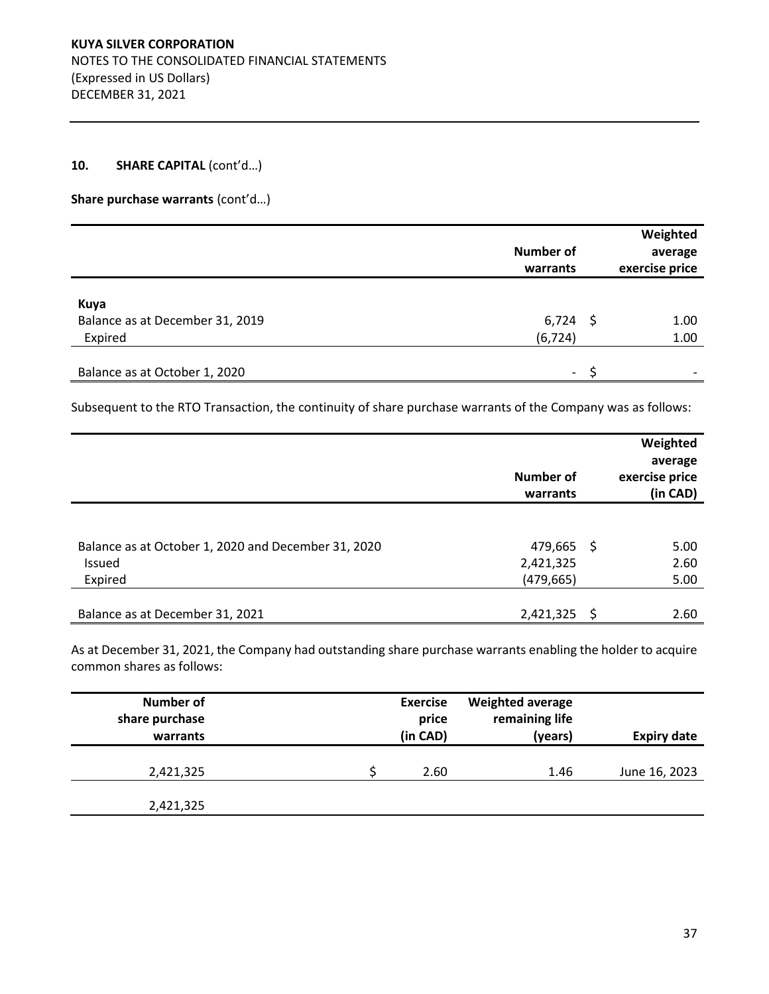## Share purchase warrants (cont'd...)

|                                                    | <b>Number of</b><br>warrants | Weighted<br>average<br>exercise price |
|----------------------------------------------------|------------------------------|---------------------------------------|
| Kuya<br>Balance as at December 31, 2019<br>Expired | $6,724$ \$<br>(6, 724)       | 1.00<br>1.00                          |
| Balance as at October 1, 2020                      | $\overline{\phantom{a}}$     |                                       |

Subsequent to the RTO Transaction, the continuity of share purchase warrants of the Company was as follows:

|                                                                          | Number of<br>warrants              |    | Weighted<br>average<br>exercise price<br>(in CAD) |
|--------------------------------------------------------------------------|------------------------------------|----|---------------------------------------------------|
| Balance as at October 1, 2020 and December 31, 2020<br>Issued<br>Expired | 479,665<br>2,421,325<br>(479, 665) | -S | 5.00<br>2.60<br>5.00                              |
| Balance as at December 31, 2021                                          | 2,421,325                          | Ś  | 2.60                                              |

As at December 31, 2021, the Company had outstanding share purchase warrants enabling the holder to acquire common shares as follows:

| <b>Number of</b><br>share purchase<br>warrants | <b>Exercise</b><br>price<br>(in CAD) | <b>Weighted average</b><br>remaining life<br>(years) | <b>Expiry date</b> |
|------------------------------------------------|--------------------------------------|------------------------------------------------------|--------------------|
| 2,421,325                                      | 2.60                                 | 1.46                                                 | June 16, 2023      |
| 2,421,325                                      |                                      |                                                      |                    |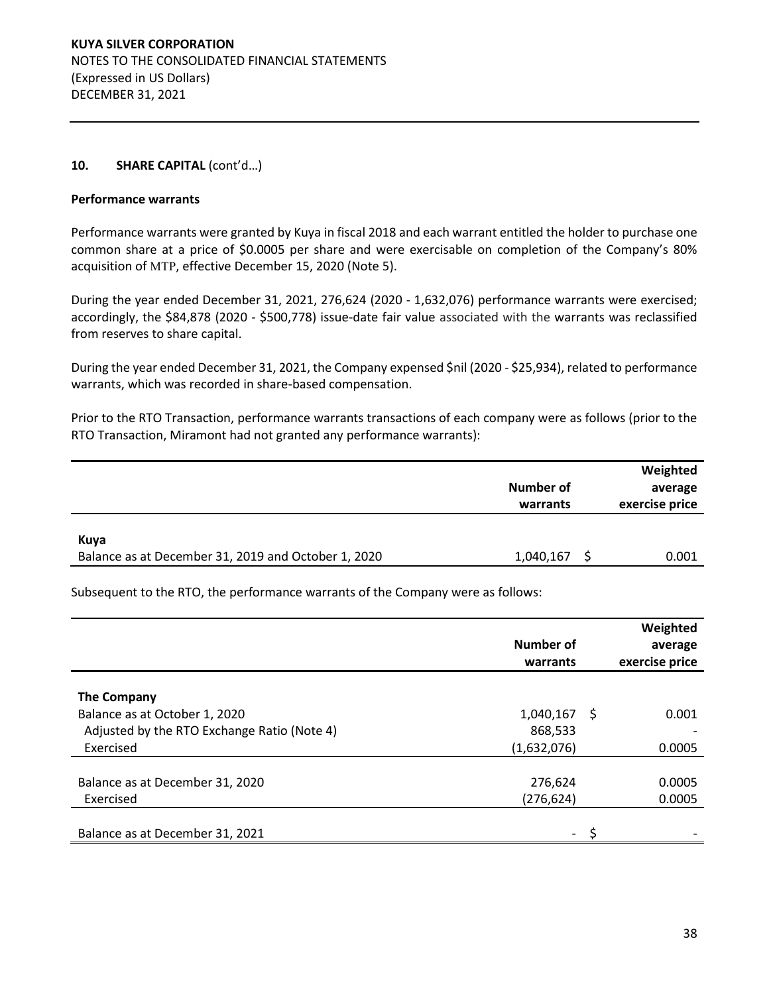#### **Performance warrants**

Performance warrants were granted by Kuya in fiscal 2018 and each warrant entitled the holder to purchase one common share at a price of \$0.0005 per share and were exercisable on completion of the Company's 80% acquisition of MTP, effective December 15, 2020 (Note 5).

During the year ended December 31, 2021, 276,624 (2020 - 1,632,076) performance warrants were exercised; accordingly, the \$84,878 (2020 - \$500,778) issue-date fair value associated with the warrants was reclassified from reserves to share capital.

During the year ended December 31, 2021, the Company expensed \$nil (2020 - \$25,934), related to performance warrants, which was recorded in share-based compensation.

Prior to the RTO Transaction, performance warrants transactions of each company were as follows (prior to the RTO Transaction, Miramont had not granted any performance warrants):

|                                                             | Number of<br>warrants | Weighted<br>average<br>exercise price |
|-------------------------------------------------------------|-----------------------|---------------------------------------|
| Kuya<br>Balance as at December 31, 2019 and October 1, 2020 | 1,040,167             | 0.001                                 |

Subsequent to the RTO, the performance warrants of the Company were as follows:

|                                             | Number of<br>warrants    |    | Weighted<br>average<br>exercise price |
|---------------------------------------------|--------------------------|----|---------------------------------------|
|                                             |                          |    |                                       |
| <b>The Company</b>                          |                          |    |                                       |
| Balance as at October 1, 2020               | 1,040,167                | -S | 0.001                                 |
| Adjusted by the RTO Exchange Ratio (Note 4) | 868,533                  |    |                                       |
| Exercised                                   | (1,632,076)              |    | 0.0005                                |
|                                             |                          |    |                                       |
| Balance as at December 31, 2020             | 276,624                  |    | 0.0005                                |
| Exercised                                   | (276, 624)               |    | 0.0005                                |
|                                             |                          |    |                                       |
| Balance as at December 31, 2021             | $\overline{\phantom{0}}$ |    |                                       |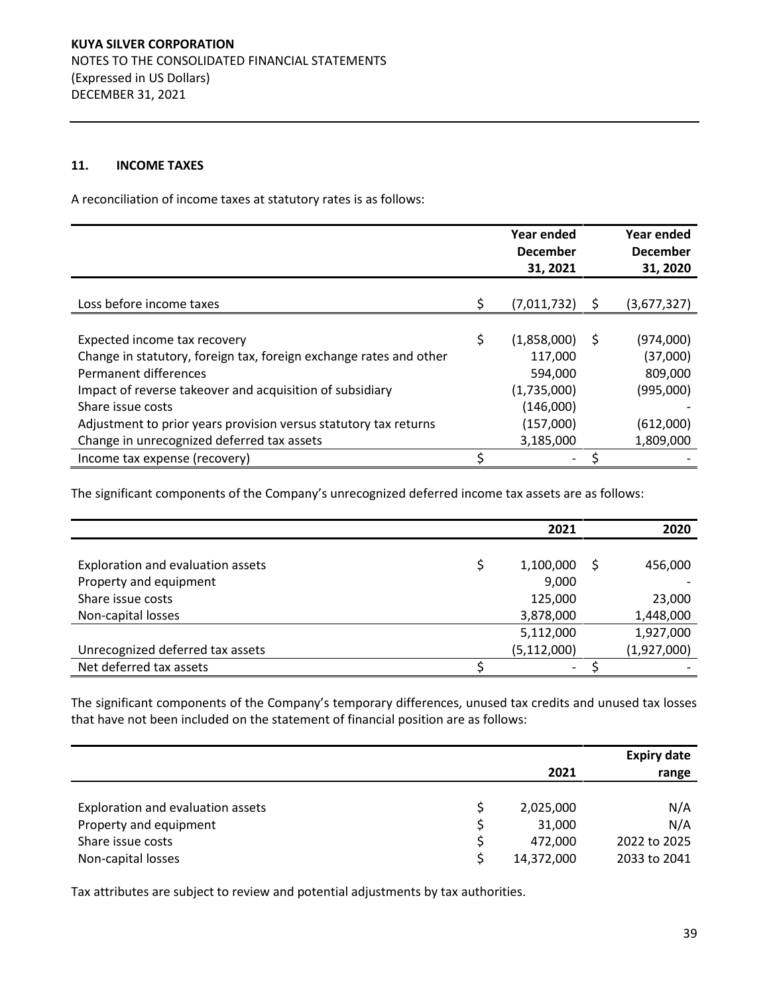## **11. INCOME TAXES**

A reconciliation of income taxes at statutory rates is as follows:

|                                                                    | Year ended<br><b>December</b><br>31, 2021 |     | Year ended<br><b>December</b><br>31, 2020 |
|--------------------------------------------------------------------|-------------------------------------------|-----|-------------------------------------------|
|                                                                    |                                           |     |                                           |
| Loss before income taxes                                           | \$<br>(7,011,732)                         | - S | (3,677,327)                               |
|                                                                    |                                           |     |                                           |
| Expected income tax recovery                                       | \$<br>$(1,858,000)$ \$                    |     | (974,000)                                 |
| Change in statutory, foreign tax, foreign exchange rates and other | 117,000                                   |     | (37,000)                                  |
| Permanent differences                                              | 594,000                                   |     | 809,000                                   |
| Impact of reverse takeover and acquisition of subsidiary           | (1,735,000)                               |     | (995,000)                                 |
| Share issue costs                                                  | (146,000)                                 |     |                                           |
| Adjustment to prior years provision versus statutory tax returns   | (157,000)                                 |     | (612,000)                                 |
| Change in unrecognized deferred tax assets                         | 3,185,000                                 |     | 1,809,000                                 |
| Income tax expense (recovery)                                      |                                           |     |                                           |

The significant components of the Company's unrecognized deferred income tax assets are as follows:

|                                   | 2021          | 2020        |
|-----------------------------------|---------------|-------------|
|                                   |               |             |
| Exploration and evaluation assets | 1,100,000     | 456,000     |
| Property and equipment            | 9,000         |             |
| Share issue costs                 | 125,000       | 23,000      |
| Non-capital losses                | 3,878,000     | 1,448,000   |
|                                   | 5,112,000     | 1,927,000   |
| Unrecognized deferred tax assets  | (5, 112, 000) | (1,927,000) |
| Net deferred tax assets           | -             |             |

The significant components of the Company's temporary differences, unused tax credits and unused tax losses that have not been included on the statement of financial position are as follows:

|                                   |            | <b>Expiry date</b> |
|-----------------------------------|------------|--------------------|
|                                   | 2021       | range              |
|                                   |            |                    |
| Exploration and evaluation assets | 2,025,000  | N/A                |
| Property and equipment            | 31,000     | N/A                |
| Share issue costs                 | 472.000    | 2022 to 2025       |
| Non-capital losses                | 14,372,000 | 2033 to 2041       |

Tax attributes are subject to review and potential adjustments by tax authorities.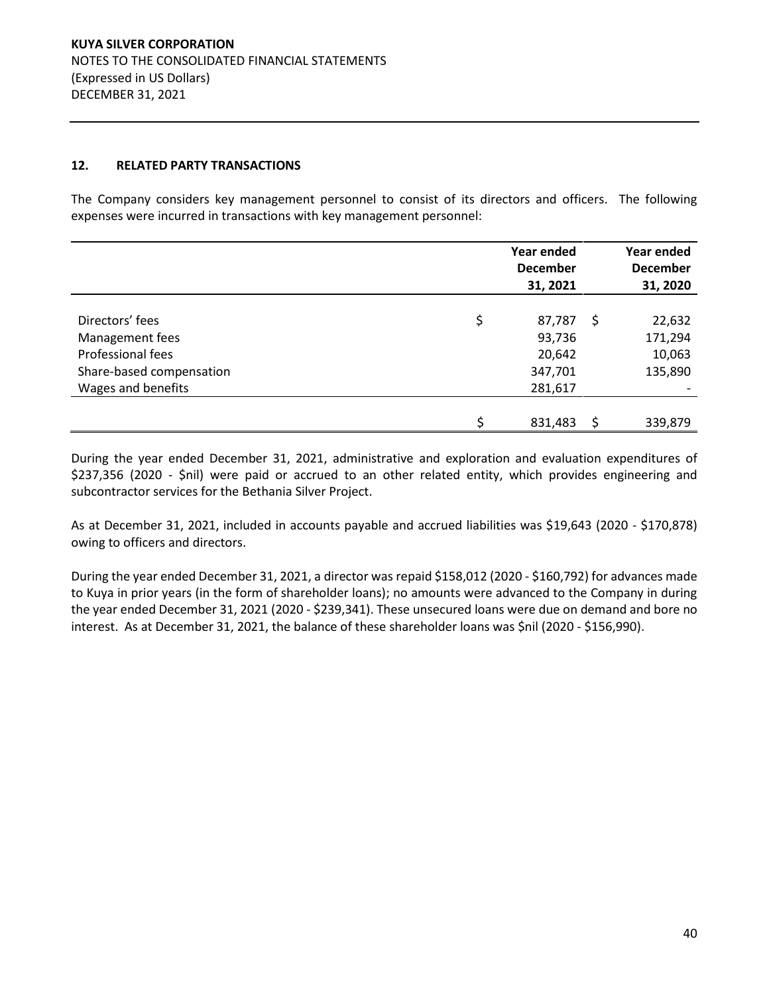## **12. RELATED PARTY TRANSACTIONS**

The Company considers key management personnel to consist of its directors and officers. The following expenses were incurred in transactions with key management personnel:

|                          | Year ended<br><b>December</b><br>31, 2021 |   | Year ended<br><b>December</b><br>31, 2020 |
|--------------------------|-------------------------------------------|---|-------------------------------------------|
|                          |                                           |   |                                           |
| Directors' fees          | \$<br>87,787                              | S | 22,632                                    |
| Management fees          | 93,736                                    |   | 171,294                                   |
| Professional fees        | 20,642                                    |   | 10,063                                    |
| Share-based compensation | 347,701                                   |   | 135,890                                   |
| Wages and benefits       | 281,617                                   |   |                                           |
|                          |                                           |   |                                           |
|                          | \$<br>831,483                             |   | 339,879                                   |

During the year ended December 31, 2021, administrative and exploration and evaluation expenditures of \$237,356 (2020 - \$nil) were paid or accrued to an other related entity, which provides engineering and subcontractor services for the Bethania Silver Project.

As at December 31, 2021, included in accounts payable and accrued liabilities was \$19,643 (2020 - \$170,878) owing to officers and directors.

During the year ended December 31, 2021, a director was repaid \$158,012 (2020 - \$160,792) for advances made to Kuya in prior years (in the form of shareholder loans); no amounts were advanced to the Company in during the year ended December 31, 2021 (2020 - \$239,341). These unsecured loans were due on demand and bore no interest. As at December 31, 2021, the balance of these shareholder loans was \$nil (2020 - \$156,990).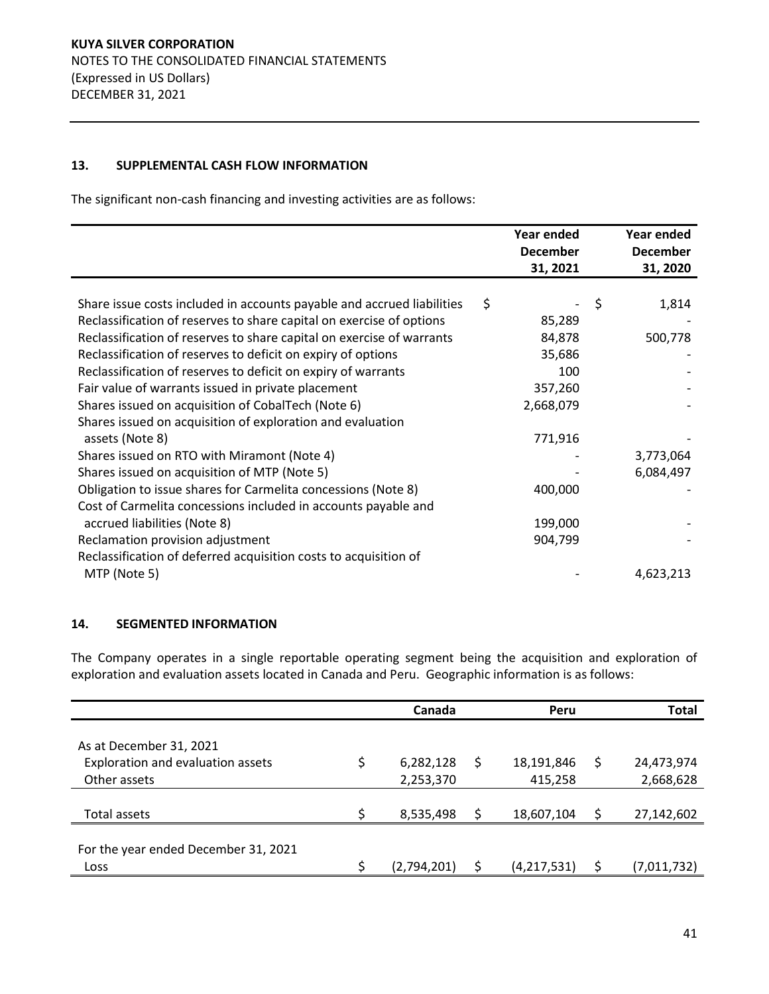## **13. SUPPLEMENTAL CASH FLOW INFORMATION**

The significant non-cash financing and investing activities are as follows:

|                                                                        | Year ended<br><b>December</b><br>31, 2021 | Year ended<br><b>December</b><br>31, 2020 |
|------------------------------------------------------------------------|-------------------------------------------|-------------------------------------------|
| Share issue costs included in accounts payable and accrued liabilities | \$                                        | \$<br>1,814                               |
| Reclassification of reserves to share capital on exercise of options   | 85,289                                    |                                           |
| Reclassification of reserves to share capital on exercise of warrants  | 84,878                                    | 500,778                                   |
| Reclassification of reserves to deficit on expiry of options           | 35,686                                    |                                           |
| Reclassification of reserves to deficit on expiry of warrants          | 100                                       |                                           |
| Fair value of warrants issued in private placement                     | 357,260                                   |                                           |
| Shares issued on acquisition of CobalTech (Note 6)                     | 2,668,079                                 |                                           |
| Shares issued on acquisition of exploration and evaluation             |                                           |                                           |
| assets (Note 8)                                                        | 771,916                                   |                                           |
| Shares issued on RTO with Miramont (Note 4)                            |                                           | 3,773,064                                 |
| Shares issued on acquisition of MTP (Note 5)                           |                                           | 6,084,497                                 |
| Obligation to issue shares for Carmelita concessions (Note 8)          | 400,000                                   |                                           |
| Cost of Carmelita concessions included in accounts payable and         |                                           |                                           |
| accrued liabilities (Note 8)                                           | 199,000                                   |                                           |
| Reclamation provision adjustment                                       | 904,799                                   |                                           |
| Reclassification of deferred acquisition costs to acquisition of       |                                           |                                           |
| MTP (Note 5)                                                           |                                           | 4,623,213                                 |

## **14. SEGMENTED INFORMATION**

The Company operates in a single reportable operating segment being the acquisition and exploration of exploration and evaluation assets located in Canada and Peru. Geographic information is as follows:

|                                                              |    | Canada      | Peru              |    | <b>Total</b> |
|--------------------------------------------------------------|----|-------------|-------------------|----|--------------|
| As at December 31, 2021<br>Exploration and evaluation assets | \$ | 6,282,128   | \$<br>18,191,846  | \$ | 24,473,974   |
| Other assets                                                 |    | 2,253,370   | 415,258           |    | 2,668,628    |
| Total assets                                                 | ς  | 8,535,498   | \$<br>18,607,104  | \$ | 27,142,602   |
| For the year ended December 31, 2021                         |    |             |                   |    |              |
| Loss                                                         |    | (2,794,201) | \$<br>(4,217,531) | S  | (7,011,732)  |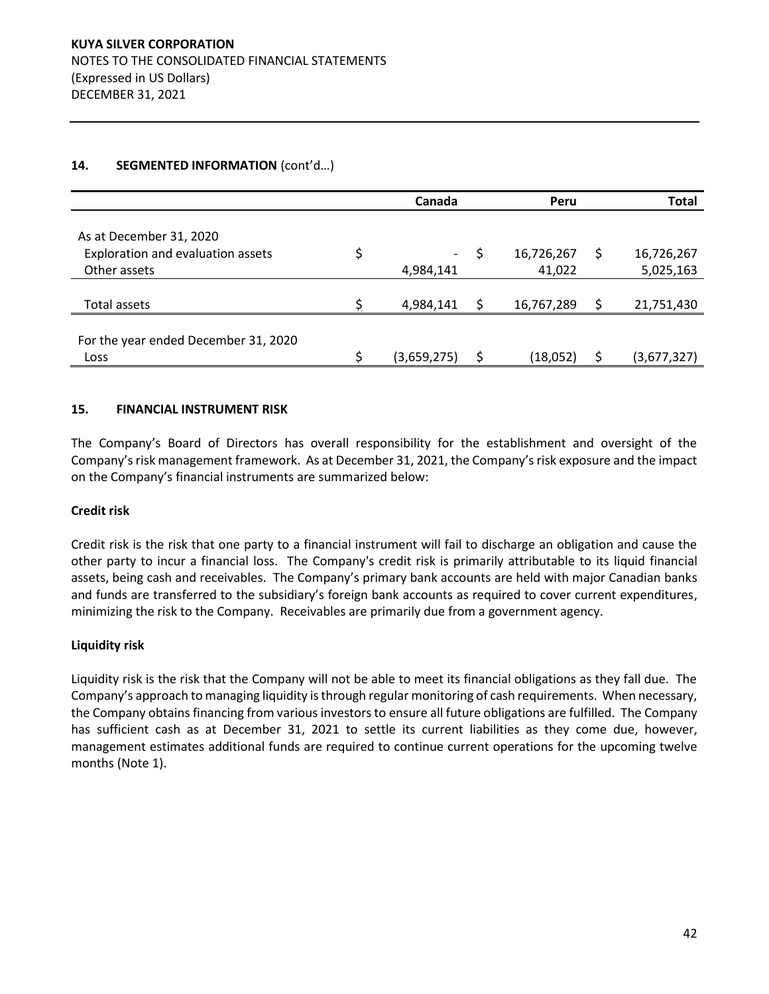|                                              | Canada      |   | Peru       | <b>Total</b>     |
|----------------------------------------------|-------------|---|------------|------------------|
| As at December 31, 2020                      |             |   |            |                  |
| Exploration and evaluation assets            | \$<br>-     |   | 16,726,267 | \$<br>16,726,267 |
| Other assets                                 | 4,984,141   |   | 41,022     | 5,025,163        |
| Total assets                                 | 4,984,141   | Ś | 16,767,289 | 21,751,430       |
| For the year ended December 31, 2020<br>Loss | (3,659,275) | S | (18,052)   | (3,677,327)      |

# 14. **SEGMENTED INFORMATION** (cont'd...)

## **15. FINANCIAL INSTRUMENT RISK**

The Company's Board of Directors has overall responsibility for the establishment and oversight of the Company's risk management framework. As at December 31, 2021, the Company's risk exposure and the impact on the Company's financial instruments are summarized below:

## **Credit risk**

Credit risk is the risk that one party to a financial instrument will fail to discharge an obligation and cause the other party to incur a financial loss. The Company's credit risk is primarily attributable to its liquid financial assets, being cash and receivables. The Company's primary bank accounts are held with major Canadian banks and funds are transferred to the subsidiary's foreign bank accounts as required to cover current expenditures, minimizing the risk to the Company. Receivables are primarily due from a government agency.

#### **Liquidity risk**

Liquidity risk is the risk that the Company will not be able to meet its financial obligations as they fall due. The Company's approach to managing liquidity is through regular monitoring of cash requirements. When necessary, the Company obtains financing from various investors to ensure all future obligations are fulfilled. The Company has sufficient cash as at December 31, 2021 to settle its current liabilities as they come due, however, management estimates additional funds are required to continue current operations for the upcoming twelve months (Note 1).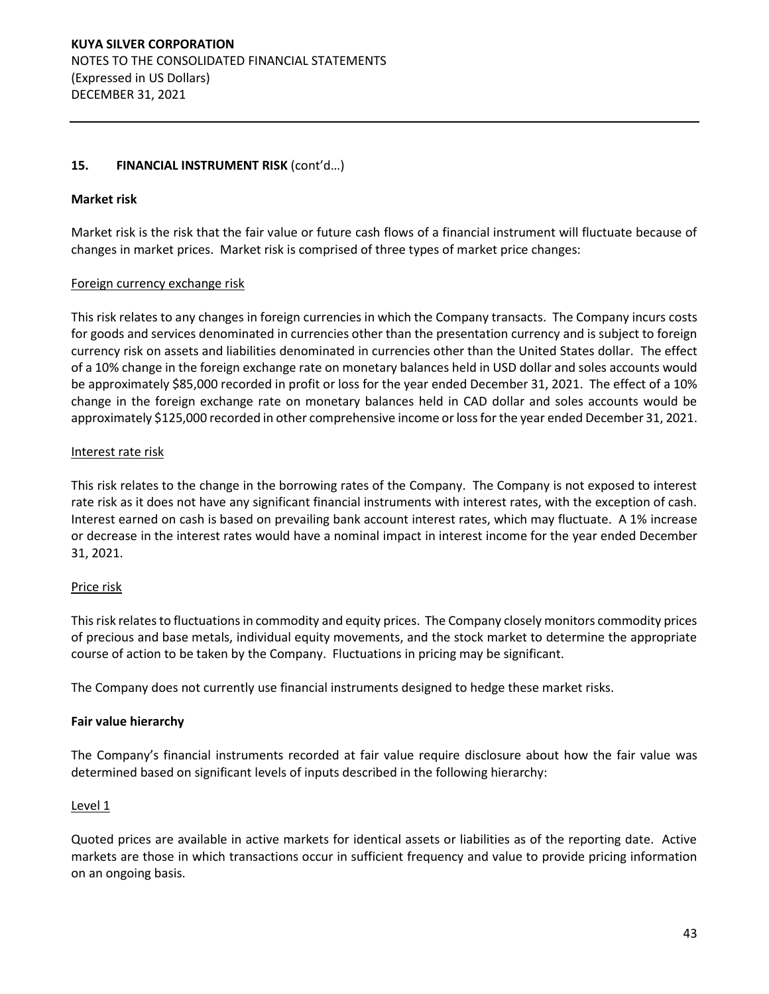## 15. **FINANCIAL INSTRUMENT RISK** (cont'd...)

## **Market risk**

Market risk is the risk that the fair value or future cash flows of a financial instrument will fluctuate because of changes in market prices. Market risk is comprised of three types of market price changes:

## Foreign currency exchange risk

This risk relates to any changes in foreign currencies in which the Company transacts. The Company incurs costs for goods and services denominated in currencies other than the presentation currency and is subject to foreign currency risk on assets and liabilities denominated in currencies other than the United States dollar. The effect of a 10% change in the foreign exchange rate on monetary balances held in USD dollar and soles accounts would be approximately \$85,000 recorded in profit or loss for the year ended December 31, 2021. The effect of a 10% change in the foreign exchange rate on monetary balances held in CAD dollar and soles accounts would be approximately \$125,000 recorded in other comprehensive income or loss for the year ended December 31, 2021.

#### Interest rate risk

This risk relates to the change in the borrowing rates of the Company. The Company is not exposed to interest rate risk as it does not have any significant financial instruments with interest rates, with the exception of cash. Interest earned on cash is based on prevailing bank account interest rates, which may fluctuate. A 1% increase or decrease in the interest rates would have a nominal impact in interest income for the year ended December 31, 2021.

## Price risk

This risk relates to fluctuations in commodity and equity prices. The Company closely monitors commodity prices of precious and base metals, individual equity movements, and the stock market to determine the appropriate course of action to be taken by the Company. Fluctuations in pricing may be significant.

The Company does not currently use financial instruments designed to hedge these market risks.

## **Fair value hierarchy**

The Company's financial instruments recorded at fair value require disclosure about how the fair value was determined based on significant levels of inputs described in the following hierarchy:

#### Level<sub>1</sub>

Quoted prices are available in active markets for identical assets or liabilities as of the reporting date. Active markets are those in which transactions occur in sufficient frequency and value to provide pricing information on an ongoing basis.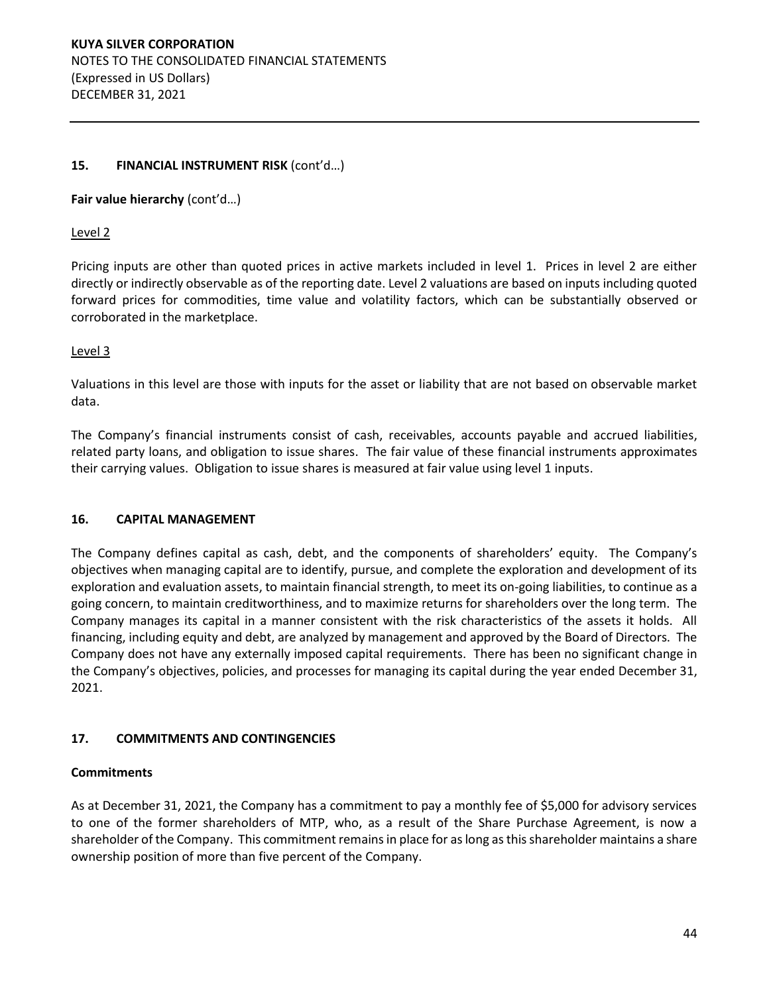## 15. **FINANCIAL INSTRUMENT RISK** (cont'd...)

## Fair value hierarchy (cont'd...)

## Level 2

Pricing inputs are other than quoted prices in active markets included in level 1. Prices in level 2 are either directly or indirectly observable as of the reporting date. Level 2 valuations are based on inputs including quoted forward prices for commodities, time value and volatility factors, which can be substantially observed or corroborated in the marketplace.

## Level 3

Valuations in this level are those with inputs for the asset or liability that are not based on observable market data.

The Company's financial instruments consist of cash, receivables, accounts payable and accrued liabilities, related party loans, and obligation to issue shares. The fair value of these financial instruments approximates their carrying values. Obligation to issue shares is measured at fair value using level 1 inputs.

## **16. CAPITAL MANAGEMENT**

The Company defines capital as cash, debt, and the components of shareholders' equity. The Company's objectives when managing capital are to identify, pursue, and complete the exploration and development of its exploration and evaluation assets, to maintain financial strength, to meet its on-going liabilities, to continue as a going concern, to maintain creditworthiness, and to maximize returns for shareholders over the long term. The Company manages its capital in a manner consistent with the risk characteristics of the assets it holds. All financing, including equity and debt, are analyzed by management and approved by the Board of Directors. The Company does not have any externally imposed capital requirements. There has been no significant change in the Company's objectives, policies, and processes for managing its capital during the year ended December 31, 2021.

## **17. COMMITMENTS AND CONTINGENCIES**

#### **Commitments**

As at December 31, 2021, the Company has a commitment to pay a monthly fee of \$5,000 for advisory services to one of the former shareholders of MTP, who, as a result of the Share Purchase Agreement, is now a shareholder of the Company. This commitment remains in place for as long as this shareholder maintains a share ownership position of more than five percent of the Company.